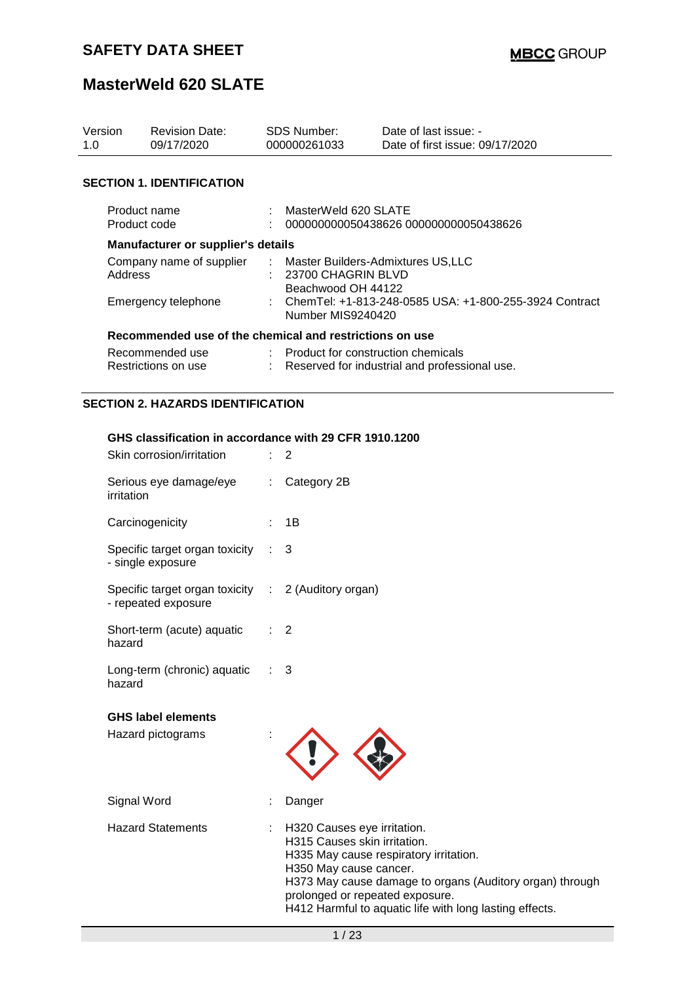| Version<br>1.0                                          | <b>Revision Date:</b><br>09/17/2020       |  | SDS Number:<br>000000261033                                                       | Date of last issue: -<br>Date of first issue: 09/17/2020 |
|---------------------------------------------------------|-------------------------------------------|--|-----------------------------------------------------------------------------------|----------------------------------------------------------|
|                                                         |                                           |  |                                                                                   |                                                          |
|                                                         | <b>SECTION 1. IDENTIFICATION</b>          |  |                                                                                   |                                                          |
| Product name<br>Product code                            |                                           |  | MasterWeld 620 SLATE                                                              | 000000000050438626 000000000050438626                    |
|                                                         | <b>Manufacturer or supplier's details</b> |  |                                                                                   |                                                          |
| Address                                                 | Company name of supplier                  |  | : Master Builders-Admixtures US,LLC<br>: 23700 CHAGRIN BLVD<br>Beachwood OH 44122 |                                                          |
|                                                         | Emergency telephone                       |  | Number MIS9240420                                                                 | : ChemTel: +1-813-248-0585 USA: +1-800-255-3924 Contract |
| Recommended use of the chemical and restrictions on use |                                           |  |                                                                                   |                                                          |
|                                                         | Recommended use<br>Restrictions on use    |  | : Product for construction chemicals                                              | : Reserved for industrial and professional use.          |
|                                                         | <b>SECTION 2. HAZARDS IDENTIFICATION</b>  |  |                                                                                   |                                                          |

#### **GHS classification in accordance with 29 CFR 1910.1200**

| Skin corrosion/irritation                                                  |                                                                                                                                                                                                                                                                                                                                                                                                                               | $\overline{2}$                                                                                                                                                                                                                                                                            |
|----------------------------------------------------------------------------|-------------------------------------------------------------------------------------------------------------------------------------------------------------------------------------------------------------------------------------------------------------------------------------------------------------------------------------------------------------------------------------------------------------------------------|-------------------------------------------------------------------------------------------------------------------------------------------------------------------------------------------------------------------------------------------------------------------------------------------|
| Serious eye damage/eye<br>irritation                                       | $\mathbb{Z}^n$ .                                                                                                                                                                                                                                                                                                                                                                                                              | Category 2B                                                                                                                                                                                                                                                                               |
| Carcinogenicity                                                            | t.                                                                                                                                                                                                                                                                                                                                                                                                                            | 1B                                                                                                                                                                                                                                                                                        |
| Specific target organ toxicity<br>- single exposure                        |                                                                                                                                                                                                                                                                                                                                                                                                                               | 3                                                                                                                                                                                                                                                                                         |
| Specific target organ toxicity : 2 (Auditory organ)<br>- repeated exposure |                                                                                                                                                                                                                                                                                                                                                                                                                               |                                                                                                                                                                                                                                                                                           |
| Short-term (acute) aquatic<br>hazard                                       | $\mathcal{I}^{\mathcal{I}^{\mathcal{I}^{\mathcal{I}^{\mathcal{I}^{\mathcal{I}^{\mathcal{I}^{\mathcal{I}^{\mathcal{I}^{\mathcal{I}^{\mathcal{I}^{\mathcal{I}^{\mathcal{I}^{\mathcal{I}^{\mathcal{I}^{\mathcal{I}^{\mathcal{I}^{\mathcal{I}^{\mathcal{I}^{\mathcal{I}^{\mathcal{I}^{\mathcal{I}^{\mathcal{I}^{\mathcal{I}^{\mathcal{I}^{\mathcal{I}^{\mathcal{I}^{\mathcal{I}^{\mathcal{I}^{\mathcal{I}^{\mathcal{I}^{\mathcal$ | $\overline{2}$                                                                                                                                                                                                                                                                            |
| Long-term (chronic) aquatic<br>hazard                                      |                                                                                                                                                                                                                                                                                                                                                                                                                               | $\therefore$ 3                                                                                                                                                                                                                                                                            |
| <b>GHS label elements</b>                                                  |                                                                                                                                                                                                                                                                                                                                                                                                                               |                                                                                                                                                                                                                                                                                           |
| Hazard pictograms                                                          |                                                                                                                                                                                                                                                                                                                                                                                                                               |                                                                                                                                                                                                                                                                                           |
| Signal Word                                                                |                                                                                                                                                                                                                                                                                                                                                                                                                               | Danger                                                                                                                                                                                                                                                                                    |
| <b>Hazard Statements</b>                                                   | t.                                                                                                                                                                                                                                                                                                                                                                                                                            | H320 Causes eye irritation.<br>H315 Causes skin irritation.<br>H335 May cause respiratory irritation.<br>H350 May cause cancer.<br>H373 May cause damage to organs (Auditory organ) through<br>prolonged or repeated exposure.<br>H412 Harmful to aquatic life with long lasting effects. |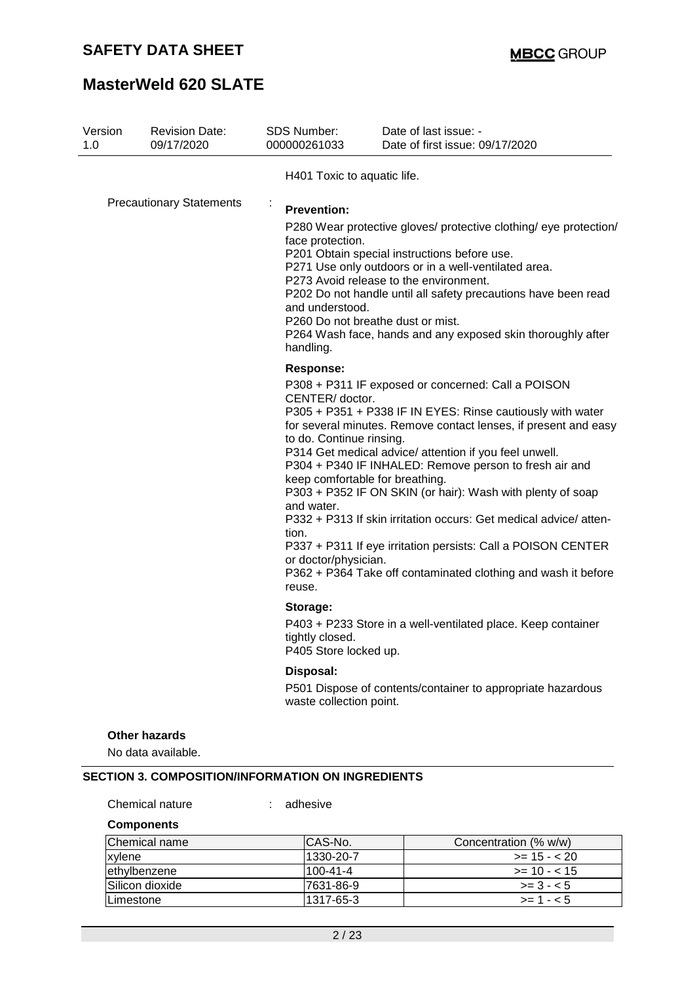## **MasterWeld 620 SLATE**

| Version<br>1.0 | <b>Revision Date:</b><br>09/17/2020                      | SDS Number:<br>000000261033                                                                                       | Date of last issue: -<br>Date of first issue: 09/17/2020                                                                                                                                                                                                                                                                                                                                                                                                                                                                                                                                                      |
|----------------|----------------------------------------------------------|-------------------------------------------------------------------------------------------------------------------|---------------------------------------------------------------------------------------------------------------------------------------------------------------------------------------------------------------------------------------------------------------------------------------------------------------------------------------------------------------------------------------------------------------------------------------------------------------------------------------------------------------------------------------------------------------------------------------------------------------|
|                |                                                          | H401 Toxic to aquatic life.                                                                                       |                                                                                                                                                                                                                                                                                                                                                                                                                                                                                                                                                                                                               |
|                | <b>Precautionary Statements</b>                          | <b>Prevention:</b><br>face protection.<br>and understood.<br>handling.                                            | P280 Wear protective gloves/ protective clothing/ eye protection/<br>P201 Obtain special instructions before use.<br>P271 Use only outdoors or in a well-ventilated area.<br>P273 Avoid release to the environment.<br>P202 Do not handle until all safety precautions have been read<br>P260 Do not breathe dust or mist.<br>P264 Wash face, hands and any exposed skin thoroughly after                                                                                                                                                                                                                     |
|                |                                                          | Response:<br>CENTER/ doctor.<br>to do. Continue rinsing.<br>and water.<br>tion.<br>or doctor/physician.<br>reuse. | P308 + P311 IF exposed or concerned: Call a POISON<br>P305 + P351 + P338 IF IN EYES: Rinse cautiously with water<br>for several minutes. Remove contact lenses, if present and easy<br>P314 Get medical advice/ attention if you feel unwell.<br>P304 + P340 IF INHALED: Remove person to fresh air and<br>keep comfortable for breathing.<br>P303 + P352 IF ON SKIN (or hair): Wash with plenty of soap<br>P332 + P313 If skin irritation occurs: Get medical advice/atten-<br>P337 + P311 If eye irritation persists: Call a POISON CENTER<br>P362 + P364 Take off contaminated clothing and wash it before |
|                |                                                          | Storage:<br>tightly closed.<br>P405 Store locked up.                                                              | P403 + P233 Store in a well-ventilated place. Keep container                                                                                                                                                                                                                                                                                                                                                                                                                                                                                                                                                  |
|                |                                                          | Disposal:<br>waste collection point.                                                                              | P501 Dispose of contents/container to appropriate hazardous                                                                                                                                                                                                                                                                                                                                                                                                                                                                                                                                                   |
|                | <b>Other hazards</b><br>No data available.               |                                                                                                                   |                                                                                                                                                                                                                                                                                                                                                                                                                                                                                                                                                                                                               |
|                | <b>SECTION 3. COMPOSITION/INFORMATION ON INGREDIENTS</b> |                                                                                                                   |                                                                                                                                                                                                                                                                                                                                                                                                                                                                                                                                                                                                               |
|                | Chemical nature                                          | adhesive                                                                                                          |                                                                                                                                                                                                                                                                                                                                                                                                                                                                                                                                                                                                               |

**Components**

| Chemical name   | ICAS-No.   | Concentration (% w/w) |
|-----------------|------------|-----------------------|
| xylene          | 1330-20-7  | $>= 15 - 20$          |
| ethylbenzene    | 100-41-4   | $\ge$ = 10 - < 15     |
| Silicon dioxide | 17631-86-9 | $>= 3 - 5$            |
| Limestone       | 1317-65-3  | $>= 1 - 5$            |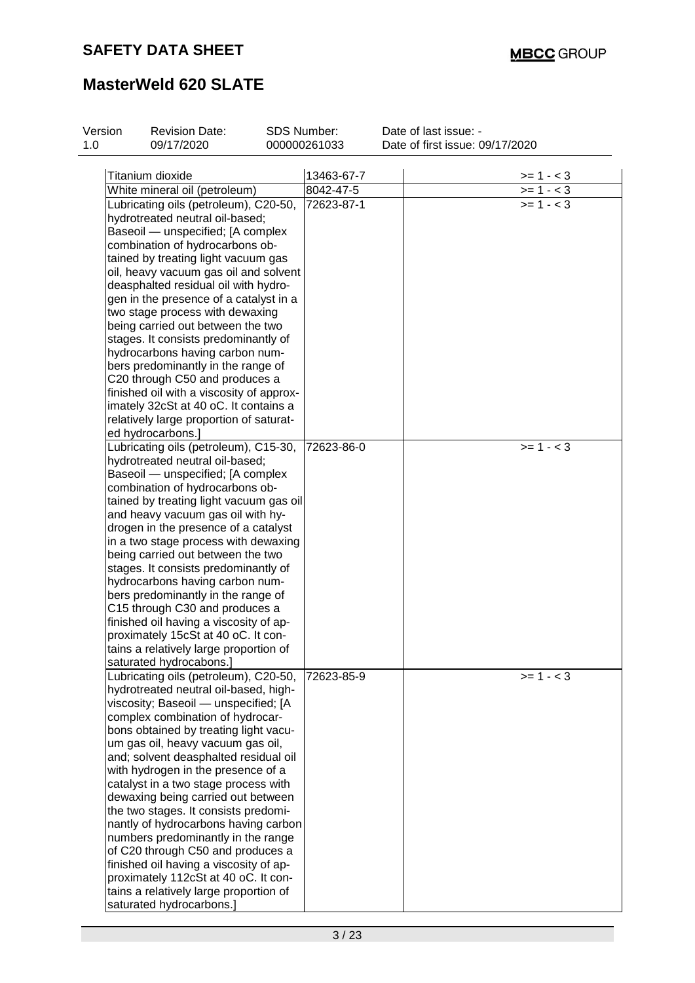| Version | <b>Revision Date:</b>                    | <b>SDS Number:</b> | Date of last issue: -           |
|---------|------------------------------------------|--------------------|---------------------------------|
| 1.0     | 09/17/2020                               | 000000261033       | Date of first issue: 09/17/2020 |
|         |                                          |                    |                                 |
|         | Titanium dioxide                         | 13463-67-7         | $>= 1 - 3$                      |
|         | White mineral oil (petroleum)            | 8042-47-5          | $>= 1 - 3$                      |
|         | Lubricating oils (petroleum), C20-50,    | 72623-87-1         | $>= 1 - < 3$                    |
|         | hydrotreated neutral oil-based;          |                    |                                 |
|         | Baseoil - unspecified; [A complex        |                    |                                 |
|         | combination of hydrocarbons ob-          |                    |                                 |
|         | tained by treating light vacuum gas      |                    |                                 |
|         | oil, heavy vacuum gas oil and solvent    |                    |                                 |
|         | deasphalted residual oil with hydro-     |                    |                                 |
|         | gen in the presence of a catalyst in a   |                    |                                 |
|         | two stage process with dewaxing          |                    |                                 |
|         | being carried out between the two        |                    |                                 |
|         | stages. It consists predominantly of     |                    |                                 |
|         | hydrocarbons having carbon num-          |                    |                                 |
|         | bers predominantly in the range of       |                    |                                 |
|         | C20 through C50 and produces a           |                    |                                 |
|         | finished oil with a viscosity of approx- |                    |                                 |
|         | imately 32cSt at 40 oC. It contains a    |                    |                                 |
|         | relatively large proportion of saturat-  |                    |                                 |
|         | ed hydrocarbons.]                        |                    |                                 |
|         | Lubricating oils (petroleum), C15-30,    | 72623-86-0         | $>= 1 - 3$                      |
|         | hydrotreated neutral oil-based;          |                    |                                 |
|         | Baseoil - unspecified; [A complex        |                    |                                 |
|         | combination of hydrocarbons ob-          |                    |                                 |
|         | tained by treating light vacuum gas oil  |                    |                                 |
|         | and heavy vacuum gas oil with hy-        |                    |                                 |
|         | drogen in the presence of a catalyst     |                    |                                 |
|         | in a two stage process with dewaxing     |                    |                                 |
|         | being carried out between the two        |                    |                                 |
|         | stages. It consists predominantly of     |                    |                                 |
|         | hydrocarbons having carbon num-          |                    |                                 |
|         | bers predominantly in the range of       |                    |                                 |
|         | C15 through C30 and produces a           |                    |                                 |
|         | finished oil having a viscosity of ap-   |                    |                                 |
|         | proximately 15cSt at 40 oC. It con-      |                    |                                 |
|         | tains a relatively large proportion of   |                    |                                 |
|         | saturated hydrocabons.]                  |                    |                                 |
|         | Lubricating oils (petroleum), C20-50,    | 72623-85-9         | $>= 1 - 3$                      |
|         | hydrotreated neutral oil-based, high-    |                    |                                 |
|         | viscosity; Baseoil - unspecified; [A     |                    |                                 |
|         | complex combination of hydrocar-         |                    |                                 |
|         | bons obtained by treating light vacu-    |                    |                                 |
|         | um gas oil, heavy vacuum gas oil,        |                    |                                 |
|         | and; solvent deasphalted residual oil    |                    |                                 |
|         | with hydrogen in the presence of a       |                    |                                 |
|         | catalyst in a two stage process with     |                    |                                 |
|         | dewaxing being carried out between       |                    |                                 |
|         | the two stages. It consists predomi-     |                    |                                 |
|         | nantly of hydrocarbons having carbon     |                    |                                 |
|         | numbers predominantly in the range       |                    |                                 |
|         | of C20 through C50 and produces a        |                    |                                 |
|         | finished oil having a viscosity of ap-   |                    |                                 |
|         | proximately 112cSt at 40 oC. It con-     |                    |                                 |
|         | tains a relatively large proportion of   |                    |                                 |
|         | saturated hydrocarbons.]                 |                    |                                 |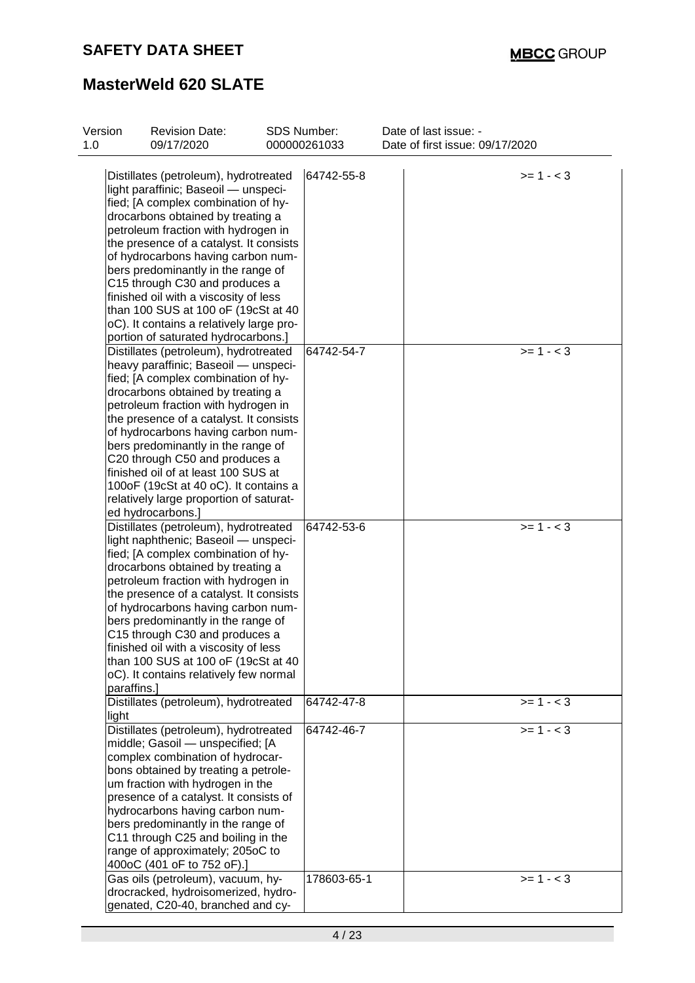| Version<br>1.0 | <b>Revision Date:</b><br>09/17/2020      | SDS Number:<br>000000261033 | Date of last issue: -<br>Date of first issue: 09/17/2020 |
|----------------|------------------------------------------|-----------------------------|----------------------------------------------------------|
|                | Distillates (petroleum), hydrotreated    | 64742-55-8                  | $>= 1 - 3$                                               |
|                | light paraffinic; Baseoil - unspeci-     |                             |                                                          |
|                | fied; [A complex combination of hy-      |                             |                                                          |
|                |                                          |                             |                                                          |
|                | drocarbons obtained by treating a        |                             |                                                          |
|                | petroleum fraction with hydrogen in      |                             |                                                          |
|                | the presence of a catalyst. It consists  |                             |                                                          |
|                | of hydrocarbons having carbon num-       |                             |                                                          |
|                | bers predominantly in the range of       |                             |                                                          |
|                | C15 through C30 and produces a           |                             |                                                          |
|                | finished oil with a viscosity of less    |                             |                                                          |
|                | than 100 SUS at 100 oF (19cSt at 40      |                             |                                                          |
|                | oC). It contains a relatively large pro- |                             |                                                          |
|                | portion of saturated hydrocarbons.]      |                             |                                                          |
|                | Distillates (petroleum), hydrotreated    | 64742-54-7                  | $>= 1 - 3$                                               |
|                | heavy paraffinic; Baseoil - unspeci-     |                             |                                                          |
|                | fied; [A complex combination of hy-      |                             |                                                          |
|                | drocarbons obtained by treating a        |                             |                                                          |
|                | petroleum fraction with hydrogen in      |                             |                                                          |
|                | the presence of a catalyst. It consists  |                             |                                                          |
|                | of hydrocarbons having carbon num-       |                             |                                                          |
|                | bers predominantly in the range of       |                             |                                                          |
|                | C20 through C50 and produces a           |                             |                                                          |
|                | finished oil of at least 100 SUS at      |                             |                                                          |
|                | 100oF (19cSt at 40 oC). It contains a    |                             |                                                          |
|                | relatively large proportion of saturat-  |                             |                                                          |
|                | ed hydrocarbons.]                        |                             |                                                          |
|                |                                          | 64742-53-6                  | $>= 1 - 3$                                               |
|                | Distillates (petroleum), hydrotreated    |                             |                                                          |
|                | light naphthenic; Baseoil - unspeci-     |                             |                                                          |
|                | fied; [A complex combination of hy-      |                             |                                                          |
|                | drocarbons obtained by treating a        |                             |                                                          |
|                | petroleum fraction with hydrogen in      |                             |                                                          |
|                | the presence of a catalyst. It consists  |                             |                                                          |
|                | of hydrocarbons having carbon num-       |                             |                                                          |
|                | bers predominantly in the range of       |                             |                                                          |
|                | C15 through C30 and produces a           |                             |                                                          |
|                | finished oil with a viscosity of less    |                             |                                                          |
|                | than 100 SUS at 100 oF (19cSt at 40      |                             |                                                          |
|                | oC). It contains relatively few normal   |                             |                                                          |
| paraffins.]    |                                          |                             |                                                          |
|                | Distillates (petroleum), hydrotreated    | 64742-47-8                  | $>= 1 - 3$                                               |
| light          |                                          |                             |                                                          |
|                | Distillates (petroleum), hydrotreated    | 64742-46-7                  | $>= 1 - 3$                                               |
|                | middle; Gasoil - unspecified; [A         |                             |                                                          |
|                | complex combination of hydrocar-         |                             |                                                          |
|                | bons obtained by treating a petrole-     |                             |                                                          |
|                | um fraction with hydrogen in the         |                             |                                                          |
|                | presence of a catalyst. It consists of   |                             |                                                          |
|                | hydrocarbons having carbon num-          |                             |                                                          |
|                | bers predominantly in the range of       |                             |                                                          |
|                | C11 through C25 and boiling in the       |                             |                                                          |
|                | range of approximately; 205oC to         |                             |                                                          |
|                | 400oC (401 oF to 752 oF).]               |                             |                                                          |
|                |                                          |                             |                                                          |
|                | Gas oils (petroleum), vacuum, hy-        | 178603-65-1                 | $>= 1 - 3$                                               |
|                | drocracked, hydroisomerized, hydro-      |                             |                                                          |
|                | genated, C20-40, branched and cy-        |                             |                                                          |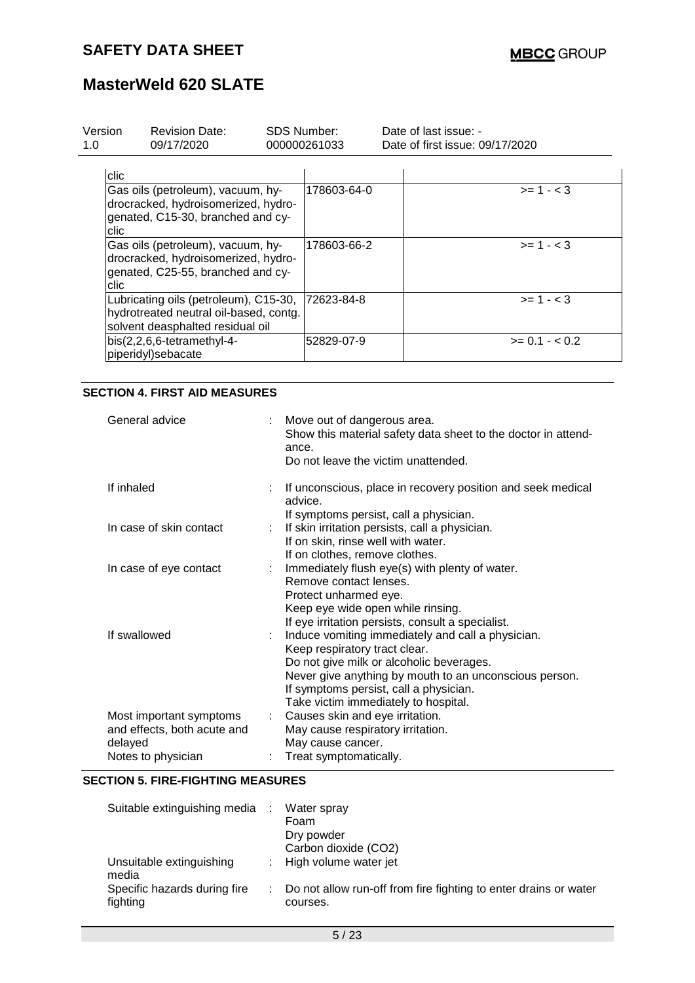| Version<br>1.0 | <b>Revision Date:</b><br>09/17/2020                                                                                 | SDS Number:<br>000000261033 | Date of last issue: -<br>Date of first issue: 09/17/2020 |                  |
|----------------|---------------------------------------------------------------------------------------------------------------------|-----------------------------|----------------------------------------------------------|------------------|
| clic           |                                                                                                                     |                             |                                                          |                  |
| clic.          | Gas oils (petroleum), vacuum, hy-<br>drocracked, hydroisomerized, hydro-<br>genated, C15-30, branched and cy-       | 178603-64-0                 |                                                          | $>= 1 - < 3$     |
| clic           | Gas oils (petroleum), vacuum, hy-<br>drocracked, hydroisomerized, hydro-<br>genated, C25-55, branched and cy-       | 178603-66-2                 |                                                          | $>= 1 - 3$       |
|                | Lubricating oils (petroleum), C15-30,<br>hydrotreated neutral oil-based, contg.<br>solvent deasphalted residual oil | 72623-84-8                  |                                                          | $>= 1 - < 3$     |
|                | bis(2,2,6,6-tetramethyl-4-<br>piperidyl)sebacate                                                                    | 52829-07-9                  |                                                          | $>= 0.1 - < 0.2$ |

### **SECTION 4. FIRST AID MEASURES**

| General advice                                                                          | ÷ | Move out of dangerous area.<br>Show this material safety data sheet to the doctor in attend-<br>ance.<br>Do not leave the victim unattended.                                                                                                                               |
|-----------------------------------------------------------------------------------------|---|----------------------------------------------------------------------------------------------------------------------------------------------------------------------------------------------------------------------------------------------------------------------------|
| If inhaled                                                                              |   | If unconscious, place in recovery position and seek medical<br>advice.<br>If symptoms persist, call a physician.                                                                                                                                                           |
| In case of skin contact                                                                 |   | If skin irritation persists, call a physician.<br>If on skin, rinse well with water.<br>If on clothes, remove clothes.                                                                                                                                                     |
| In case of eye contact                                                                  |   | Immediately flush eye(s) with plenty of water.<br>Remove contact lenses.<br>Protect unharmed eye.<br>Keep eye wide open while rinsing.<br>If eye irritation persists, consult a specialist.                                                                                |
| If swallowed                                                                            |   | Induce vomiting immediately and call a physician.<br>Keep respiratory tract clear.<br>Do not give milk or alcoholic beverages.<br>Never give anything by mouth to an unconscious person.<br>If symptoms persist, call a physician.<br>Take victim immediately to hospital. |
| Most important symptoms<br>and effects, both acute and<br>delayed<br>Notes to physician |   | Causes skin and eye irritation.<br>May cause respiratory irritation.<br>May cause cancer.<br>Treat symptomatically.                                                                                                                                                        |

#### **SECTION 5. FIRE-FIGHTING MEASURES**

| Suitable extinguishing media :           | Water spray<br>Foam<br>Dry powder<br>Carbon dioxide (CO2)                      |
|------------------------------------------|--------------------------------------------------------------------------------|
| Unsuitable extinguishing<br>media        | : High volume water jet                                                        |
| Specific hazards during fire<br>fighting | : Do not allow run-off from fire fighting to enter drains or water<br>courses. |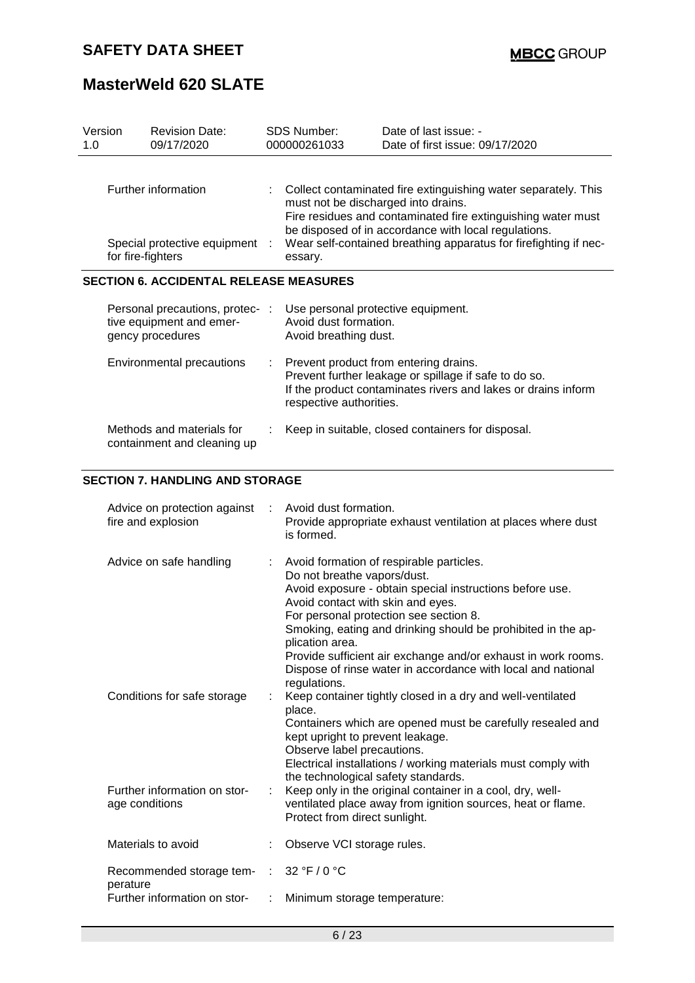| 1.0 | <b>Revision Date:</b><br>Version<br>09/17/2020                                  |           | SDS Number:<br>000000261033                                                                                                     | Date of last issue: -<br>Date of first issue: 09/17/2020                                                                                                                                                                                                                                                                                        |
|-----|---------------------------------------------------------------------------------|-----------|---------------------------------------------------------------------------------------------------------------------------------|-------------------------------------------------------------------------------------------------------------------------------------------------------------------------------------------------------------------------------------------------------------------------------------------------------------------------------------------------|
|     | Further information<br>Special protective equipment<br>for fire-fighters        | $\cdot$ : | must not be discharged into drains.<br>essary.                                                                                  | Collect contaminated fire extinguishing water separately. This<br>Fire residues and contaminated fire extinguishing water must<br>be disposed of in accordance with local regulations.<br>Wear self-contained breathing apparatus for firefighting if nec-                                                                                      |
|     | <b>SECTION 6. ACCIDENTAL RELEASE MEASURES</b>                                   |           |                                                                                                                                 |                                                                                                                                                                                                                                                                                                                                                 |
|     | Personal precautions, protec- :<br>tive equipment and emer-<br>gency procedures |           | Use personal protective equipment.<br>Avoid dust formation.<br>Avoid breathing dust.                                            |                                                                                                                                                                                                                                                                                                                                                 |
|     | Environmental precautions                                                       |           | respective authorities.                                                                                                         | Prevent product from entering drains.<br>Prevent further leakage or spillage if safe to do so.<br>If the product contaminates rivers and lakes or drains inform                                                                                                                                                                                 |
|     | Methods and materials for<br>containment and cleaning up                        |           |                                                                                                                                 | Keep in suitable, closed containers for disposal.                                                                                                                                                                                                                                                                                               |
|     | <b>SECTION 7. HANDLING AND STORAGE</b>                                          |           |                                                                                                                                 |                                                                                                                                                                                                                                                                                                                                                 |
|     | Advice on protection against<br>fire and explosion                              |           | Avoid dust formation.<br>is formed.                                                                                             | Provide appropriate exhaust ventilation at places where dust                                                                                                                                                                                                                                                                                    |
|     | Advice on safe handling                                                         |           | Do not breathe vapors/dust.<br>Avoid contact with skin and eyes.<br>plication area.                                             | Avoid formation of respirable particles.<br>Avoid exposure - obtain special instructions before use.<br>For personal protection see section 8.<br>Smoking, eating and drinking should be prohibited in the ap-<br>Provide sufficient air exchange and/or exhaust in work rooms.<br>Dispose of rinse water in accordance with local and national |
|     | Conditions for safe storage                                                     |           | regulations.<br>place.<br>kept upright to prevent leakage.<br>Observe label precautions.<br>the technological safety standards. | Keep container tightly closed in a dry and well-ventilated<br>Containers which are opened must be carefully resealed and<br>Electrical installations / working materials must comply with                                                                                                                                                       |
|     | Further information on stor-<br>age conditions                                  |           | Protect from direct sunlight.                                                                                                   | Keep only in the original container in a cool, dry, well-<br>ventilated place away from ignition sources, heat or flame.                                                                                                                                                                                                                        |
|     | Materials to avoid                                                              |           | Observe VCI storage rules.                                                                                                      |                                                                                                                                                                                                                                                                                                                                                 |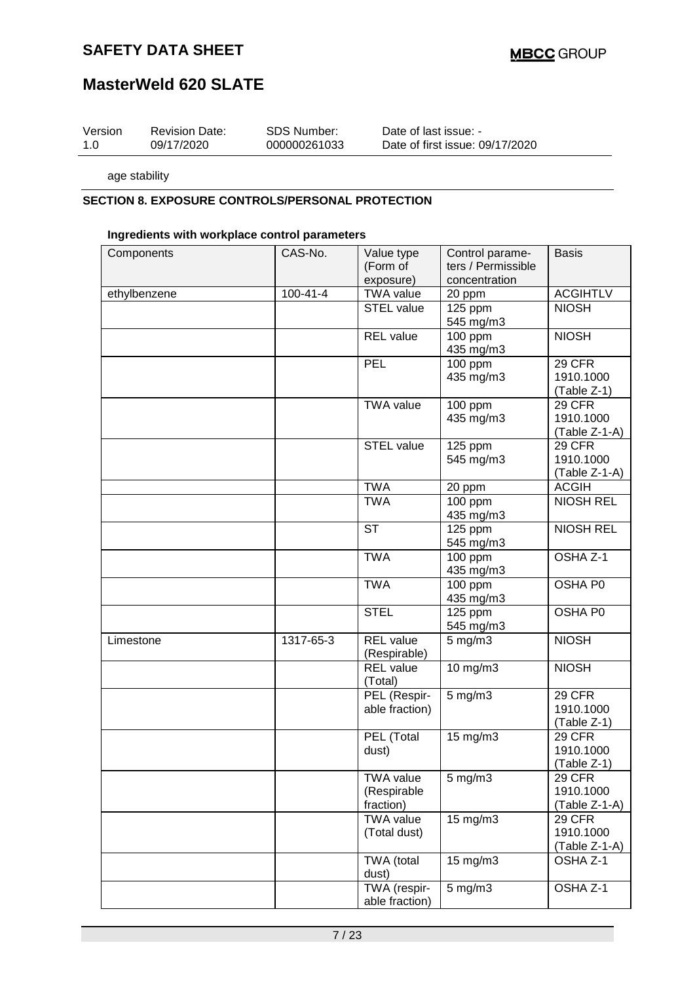## **MasterWeld 620 SLATE**

| Version | <b>Revision Date:</b> | SDS Number:  | Date of last issue: -           |
|---------|-----------------------|--------------|---------------------------------|
| 1.0     | 09/17/2020            | 000000261033 | Date of first issue: 09/17/2020 |

age stability

#### **SECTION 8. EXPOSURE CONTROLS/PERSONAL PROTECTION**

#### **Ingredients with workplace control parameters**

| Components   | CAS-No.        | Value type<br>(Form of                       | Control parame-<br>ters / Permissible | <b>Basis</b>                                |
|--------------|----------------|----------------------------------------------|---------------------------------------|---------------------------------------------|
|              |                | exposure)                                    | concentration                         |                                             |
| ethylbenzene | $100 - 41 - 4$ | <b>TWA value</b>                             | 20 ppm                                | <b>ACGIHTLV</b>                             |
|              |                | <b>STEL value</b>                            | 125 ppm                               | <b>NIOSH</b>                                |
|              |                |                                              | 545 mg/m3                             |                                             |
|              |                | <b>REL</b> value                             | 100 ppm<br>435 mg/m3                  | <b>NIOSH</b>                                |
|              |                | PEL                                          | 100 ppm<br>435 mg/m3                  | 29 CFR<br>1910.1000<br>(Table Z-1)          |
|              |                | <b>TWA value</b>                             | 100 ppm<br>435 mg/m3                  | 29 CFR<br>1910.1000<br>(Table Z-1-A)        |
|              |                | <b>STEL value</b>                            | 125 ppm<br>545 mg/m3                  | 29 CFR<br>1910.1000<br>(Table Z-1-A)        |
|              |                | <b>TWA</b>                                   | 20 ppm                                | <b>ACGIH</b>                                |
|              |                | <b>TWA</b>                                   | 100 ppm<br>435 mg/m3                  | <b>NIOSH REL</b>                            |
|              |                | <b>ST</b>                                    | 125 ppm<br>545 mg/m3                  | <b>NIOSH REL</b>                            |
|              |                | <b>TWA</b>                                   | 100 ppm<br>435 mg/m3                  | OSHA Z-1                                    |
|              |                | <b>TWA</b>                                   | $100$ ppm<br>435 mg/m3                | OSHA P0                                     |
|              |                | <b>STEL</b>                                  | 125 ppm<br>545 mg/m3                  | OSHA P0                                     |
| Limestone    | 1317-65-3      | <b>REL</b> value<br>(Respirable)             | $5$ mg/m $3$                          | <b>NIOSH</b>                                |
|              |                | <b>REL</b> value<br>(Total)                  | 10 mg/m3                              | <b>NIOSH</b>                                |
|              |                | PEL (Respir-<br>able fraction)               | $5$ mg/m $3$                          | 29 CFR<br>1910.1000<br>(Table Z-1)          |
|              |                | PEL (Total<br>dust)                          | 15 mg/m3                              | 29 CFR<br>1910.1000<br>$(Table Z-1)$        |
|              |                | <b>TWA value</b><br>(Respirable<br>fraction) | $5$ mg/m $3$                          | <b>29 CFR</b><br>1910.1000<br>(Table Z-1-A) |
|              |                | <b>TWA value</b><br>(Total dust)             | 15 mg/m3                              | <b>29 CFR</b><br>1910.1000<br>(Table Z-1-A) |
|              |                | TWA (total<br>dust)                          | 15 mg/m3                              | OSHA <sub>Z-1</sub>                         |
|              |                | TWA (respir-<br>able fraction)               | $5$ mg/m $3$                          | OSHA Z-1                                    |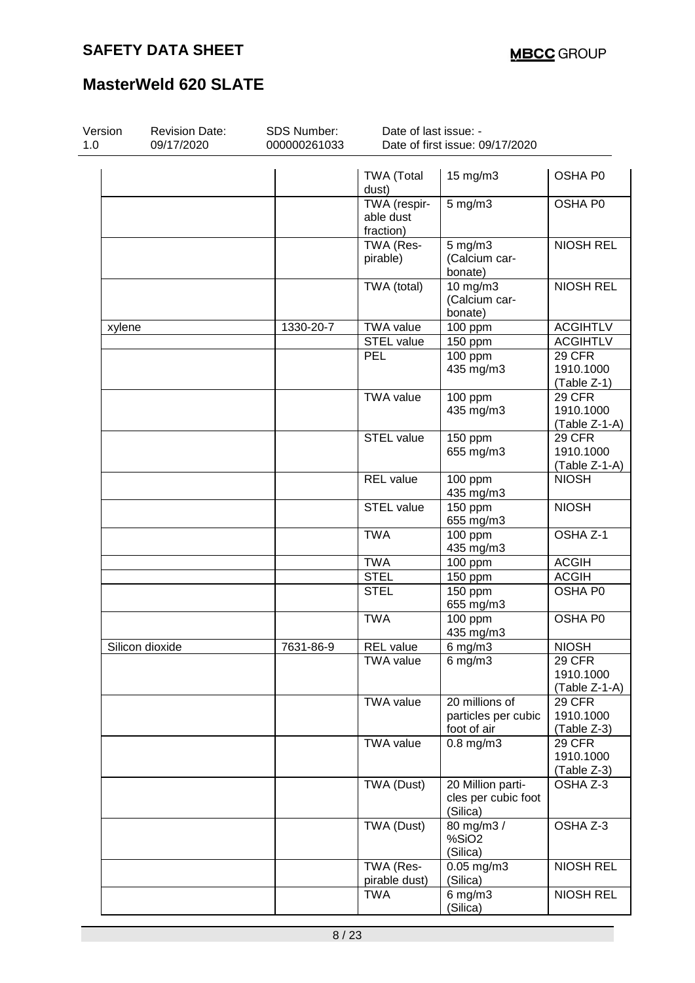| Version<br><b>Revision Date:</b><br>1.0<br>09/17/2020 |                 | SDS Number:<br>000000261033 | Date of last issue: -<br>Date of first issue: 09/17/2020 |                                                      |                                             |  |
|-------------------------------------------------------|-----------------|-----------------------------|----------------------------------------------------------|------------------------------------------------------|---------------------------------------------|--|
|                                                       |                 |                             | <b>TWA (Total</b><br>dust)                               | 15 mg/m3                                             | OSHA P0                                     |  |
|                                                       |                 |                             | TWA (respir-<br>able dust<br>fraction)                   | $5$ mg/m $3$                                         | OSHA P0                                     |  |
|                                                       |                 |                             | TWA (Res-<br>pirable)                                    | $5$ mg/m $3$<br>(Calcium car-<br>bonate)             | <b>NIOSH REL</b>                            |  |
|                                                       |                 |                             | TWA (total)                                              | 10 mg/m3<br>(Calcium car-<br>bonate)                 | <b>NIOSH REL</b>                            |  |
| xylene                                                |                 | 1330-20-7                   | <b>TWA value</b>                                         | 100 ppm                                              | <b>ACGIHTLV</b>                             |  |
|                                                       |                 |                             | STEL value                                               | 150 ppm                                              | <b>ACGIHTLV</b>                             |  |
|                                                       |                 |                             | <b>PEL</b>                                               | $100$ ppm<br>435 mg/m3                               | 29 CFR<br>1910.1000<br>(Table Z-1)          |  |
|                                                       |                 |                             | <b>TWA value</b>                                         | 100 ppm<br>435 mg/m3                                 | 29 CFR<br>1910.1000<br>$(Table Z-1-A)$      |  |
|                                                       |                 |                             | <b>STEL value</b>                                        | 150 ppm<br>655 mg/m3                                 | 29 CFR<br>1910.1000<br>$(Table Z-1-A)$      |  |
|                                                       |                 |                             | <b>REL</b> value                                         | 100 ppm<br>435 mg/m3                                 | <b>NIOSH</b>                                |  |
|                                                       |                 |                             | <b>STEL value</b>                                        | 150 ppm<br>655 mg/m3                                 | <b>NIOSH</b>                                |  |
|                                                       |                 |                             | <b>TWA</b>                                               | 100 ppm<br>435 mg/m3                                 | OSHA Z-1                                    |  |
|                                                       |                 |                             | <b>TWA</b>                                               | 100 ppm                                              | <b>ACGIH</b>                                |  |
|                                                       |                 |                             | <b>STEL</b>                                              | 150 ppm                                              | <b>ACGIH</b>                                |  |
|                                                       |                 |                             | <b>STEL</b>                                              | 150 ppm<br>655 mg/m3                                 | OSHA P0                                     |  |
|                                                       |                 |                             | <b>TWA</b>                                               | 100 ppm<br>435 mg/m3                                 | OSHA P0                                     |  |
|                                                       | Silicon dioxide | 7631-86-9                   | <b>REL</b> value                                         | $6$ mg/m $3$                                         | <b>NIOSH</b>                                |  |
|                                                       |                 |                             | <b>TWA value</b>                                         | $6$ mg/m $3$                                         | <b>29 CFR</b><br>1910.1000<br>(Table Z-1-A) |  |
|                                                       |                 |                             | <b>TWA value</b>                                         | 20 millions of<br>particles per cubic<br>foot of air | <b>29 CFR</b><br>1910.1000<br>(Table Z-3)   |  |
|                                                       |                 |                             | <b>TWA value</b>                                         | $0.8$ mg/m $3$                                       | 29 CFR<br>1910.1000<br>(Table Z-3)          |  |
|                                                       |                 |                             | TWA (Dust)                                               | 20 Million parti-<br>cles per cubic foot<br>(Silica) | OSHA Z-3                                    |  |
|                                                       |                 |                             | TWA (Dust)                                               | 80 mg/m3 /<br>%SiO2<br>(Silica)                      | OSHA Z-3                                    |  |
|                                                       |                 |                             | TWA (Res-<br>pirable dust)                               | $0.05$ mg/m $3$<br>(Silica)                          | <b>NIOSH REL</b>                            |  |
|                                                       |                 |                             | <b>TWA</b>                                               | $6$ mg/m $3$<br>(Silica)                             | <b>NIOSH REL</b>                            |  |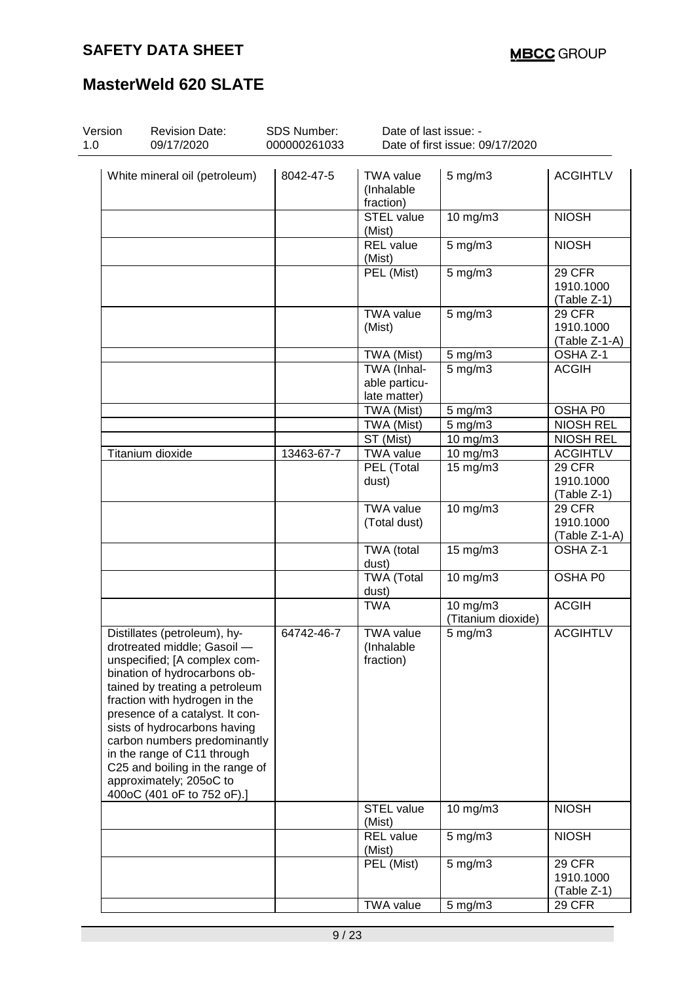| Version<br>1.0 | <b>Revision Date:</b><br>09/17/2020                                                                                                                                                                                                                                                                                                                                                                                          | <b>SDS Number:</b><br>000000261033 | Date of last issue: -                       | Date of first issue: 09/17/2020 |                                           |
|----------------|------------------------------------------------------------------------------------------------------------------------------------------------------------------------------------------------------------------------------------------------------------------------------------------------------------------------------------------------------------------------------------------------------------------------------|------------------------------------|---------------------------------------------|---------------------------------|-------------------------------------------|
|                | White mineral oil (petroleum)                                                                                                                                                                                                                                                                                                                                                                                                | 8042-47-5                          | <b>TWA value</b><br>(Inhalable<br>fraction) | $5$ mg/m $3$                    | <b>ACGIHTLV</b>                           |
|                |                                                                                                                                                                                                                                                                                                                                                                                                                              |                                    | <b>STEL</b> value<br>(Mist)                 | 10 mg/m3                        | <b>NIOSH</b>                              |
|                |                                                                                                                                                                                                                                                                                                                                                                                                                              |                                    | <b>REL</b> value<br>(Mist)                  | $5$ mg/m $3$                    | <b>NIOSH</b>                              |
|                |                                                                                                                                                                                                                                                                                                                                                                                                                              |                                    | PEL (Mist)                                  | 5 mg/m3                         | 29 CFR<br>1910.1000<br>(Table Z-1)        |
|                |                                                                                                                                                                                                                                                                                                                                                                                                                              |                                    | <b>TWA value</b><br>(Mist)                  | $5$ mg/m $3$                    | 29 CFR<br>1910.1000<br>(Table Z-1-A)      |
|                |                                                                                                                                                                                                                                                                                                                                                                                                                              |                                    | TWA (Mist)                                  | $5$ mg/m $3$                    | OSHA Z-1                                  |
|                |                                                                                                                                                                                                                                                                                                                                                                                                                              |                                    | TWA (Inhal-<br>able particu-                | $5$ mg/m $3$                    | <b>ACGIH</b>                              |
|                |                                                                                                                                                                                                                                                                                                                                                                                                                              |                                    | late matter)<br>TWA (Mist)                  | $5$ mg/m $3$                    | OSHA P0                                   |
|                |                                                                                                                                                                                                                                                                                                                                                                                                                              |                                    | TWA (Mist)                                  | $5$ mg/m $3$                    | <b>NIOSH REL</b>                          |
|                |                                                                                                                                                                                                                                                                                                                                                                                                                              |                                    | ST (Mist)                                   | 10 mg/m3                        | <b>NIOSH REL</b>                          |
|                | <b>Titanium dioxide</b>                                                                                                                                                                                                                                                                                                                                                                                                      | 13463-67-7                         | <b>TWA value</b>                            | $\overline{10}$ mg/m3           | <b>ACGIHTLV</b>                           |
|                |                                                                                                                                                                                                                                                                                                                                                                                                                              |                                    | PEL (Total<br>dust)                         | 15 mg/m3                        | 29 CFR<br>1910.1000<br>(Table Z-1)        |
|                |                                                                                                                                                                                                                                                                                                                                                                                                                              |                                    | <b>TWA value</b><br>(Total dust)            | 10 mg/m3                        | 29 CFR<br>1910.1000<br>(Table Z-1-A)      |
|                |                                                                                                                                                                                                                                                                                                                                                                                                                              |                                    | TWA (total<br>dust)                         | $15$ mg/m $3$                   | OSHA Z-1                                  |
|                |                                                                                                                                                                                                                                                                                                                                                                                                                              |                                    | <b>TWA (Total</b><br>dust)                  | 10 mg/m3                        | OSHA P0                                   |
|                |                                                                                                                                                                                                                                                                                                                                                                                                                              |                                    | <b>TWA</b>                                  | 10 mg/m3<br>(Titanium dioxide)  | <b>ACGIH</b>                              |
|                | Distillates (petroleum), hy-<br>drotreated middle; Gasoil -<br>unspecified; [A complex com-<br>bination of hydrocarbons ob-<br>tained by treating a petroleum<br>fraction with hydrogen in the<br>presence of a catalyst. It con-<br>sists of hydrocarbons having<br>carbon numbers predominantly<br>in the range of C11 through<br>C25 and boiling in the range of<br>approximately; 205oC to<br>400oC (401 oF to 752 oF).] | 64742-46-7                         | <b>TWA value</b><br>(Inhalable<br>fraction) | $5$ mg/m $3$                    | <b>ACGIHTLV</b>                           |
|                |                                                                                                                                                                                                                                                                                                                                                                                                                              |                                    | <b>STEL value</b><br>(Mist)                 | $10$ mg/m $3$                   | <b>NIOSH</b>                              |
|                |                                                                                                                                                                                                                                                                                                                                                                                                                              |                                    | <b>REL</b> value<br>(Mist)                  | $5$ mg/m $3$                    | <b>NIOSH</b>                              |
|                |                                                                                                                                                                                                                                                                                                                                                                                                                              |                                    | PEL (Mist)                                  | $5$ mg/m $3$                    | <b>29 CFR</b><br>1910.1000<br>(Table Z-1) |
|                |                                                                                                                                                                                                                                                                                                                                                                                                                              |                                    | <b>TWA value</b>                            | 5 mg/m3                         | $\overline{2}9$ CFR                       |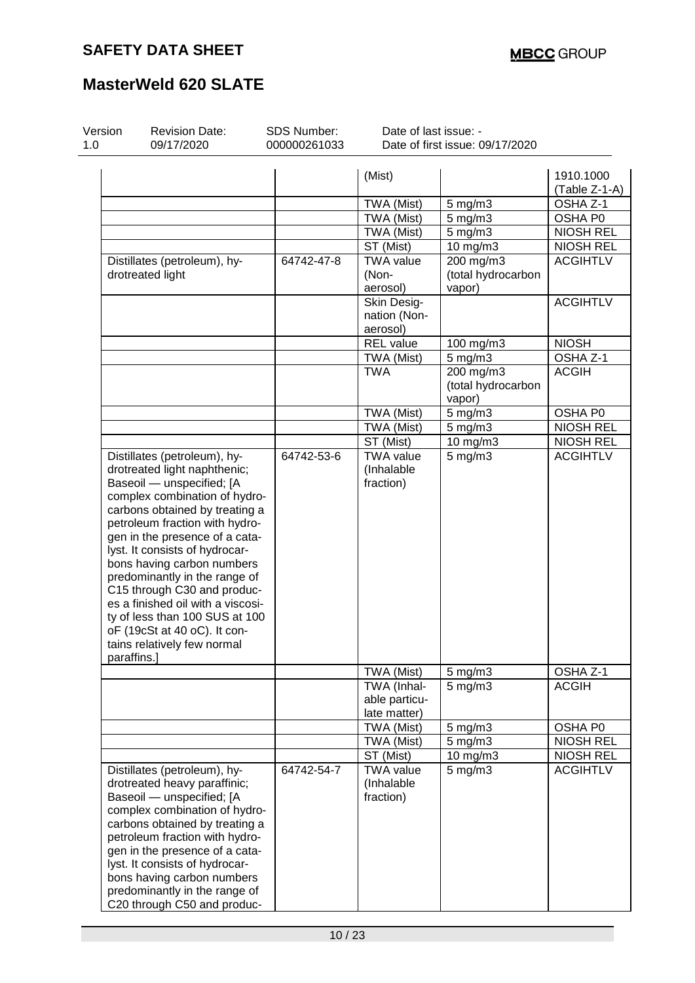| Version    | <b>Revision Date:</b>                                                                                                                                                                                                                                                                                                                                                                                                                                                                                  | SDS Number:  | Date of last issue: -                        |                                           |                            |
|------------|--------------------------------------------------------------------------------------------------------------------------------------------------------------------------------------------------------------------------------------------------------------------------------------------------------------------------------------------------------------------------------------------------------------------------------------------------------------------------------------------------------|--------------|----------------------------------------------|-------------------------------------------|----------------------------|
| 1.0        | 09/17/2020                                                                                                                                                                                                                                                                                                                                                                                                                                                                                             | 000000261033 |                                              | Date of first issue: 09/17/2020           |                            |
|            |                                                                                                                                                                                                                                                                                                                                                                                                                                                                                                        |              | (Mist)                                       |                                           | 1910.1000<br>(Table Z-1-A) |
|            |                                                                                                                                                                                                                                                                                                                                                                                                                                                                                                        |              | TWA (Mist)                                   | 5 mg/m3                                   | OSHA <sub>Z-1</sub>        |
|            |                                                                                                                                                                                                                                                                                                                                                                                                                                                                                                        |              | TWA (Mist)                                   | $5$ mg/m $3$                              | OSHA P0                    |
|            |                                                                                                                                                                                                                                                                                                                                                                                                                                                                                                        |              | TWA (Mist)                                   | $5$ mg/m $3$                              | <b>NIOSH REL</b>           |
|            |                                                                                                                                                                                                                                                                                                                                                                                                                                                                                                        |              | ST (Mist)                                    | 10 mg/m3                                  | <b>NIOSH REL</b>           |
|            | Distillates (petroleum), hy-<br>drotreated light                                                                                                                                                                                                                                                                                                                                                                                                                                                       | 64742-47-8   | <b>TWA value</b><br>(Non-<br>aerosol)        | 200 mg/m3<br>(total hydrocarbon<br>vapor) | <b>ACGIHTLV</b>            |
|            |                                                                                                                                                                                                                                                                                                                                                                                                                                                                                                        |              | Skin Desig-<br>nation (Non-<br>aerosol)      |                                           | <b>ACGIHTLV</b>            |
|            |                                                                                                                                                                                                                                                                                                                                                                                                                                                                                                        |              | <b>REL</b> value                             | 100 mg/m3                                 | <b>NIOSH</b>               |
|            |                                                                                                                                                                                                                                                                                                                                                                                                                                                                                                        |              | TWA (Mist)                                   | $5$ mg/m $3$                              | OSHA Z-1                   |
|            |                                                                                                                                                                                                                                                                                                                                                                                                                                                                                                        |              | <b>TWA</b>                                   | 200 mg/m3<br>(total hydrocarbon<br>vapor) | <b>ACGIH</b>               |
|            |                                                                                                                                                                                                                                                                                                                                                                                                                                                                                                        |              | TWA (Mist)                                   | $5$ mg/m $3$                              | OSHA P0                    |
|            |                                                                                                                                                                                                                                                                                                                                                                                                                                                                                                        |              | TWA (Mist)                                   | $5$ mg/m $3$                              | <b>NIOSH REL</b>           |
|            |                                                                                                                                                                                                                                                                                                                                                                                                                                                                                                        |              | ST (Mist)                                    | 10 mg/m3                                  | <b>NIOSH REL</b>           |
| paraffins. | Distillates (petroleum), hy-<br>drotreated light naphthenic;<br>Baseoil - unspecified; [A<br>complex combination of hydro-<br>carbons obtained by treating a<br>petroleum fraction with hydro-<br>gen in the presence of a cata-<br>lyst. It consists of hydrocar-<br>bons having carbon numbers<br>predominantly in the range of<br>C15 through C30 and produc-<br>es a finished oil with a viscosi-<br>ty of less than 100 SUS at 100<br>oF (19cSt at 40 oC). It con-<br>tains relatively few normal | 64742-53-6   | <b>TWA value</b><br>(Inhalable<br>fraction)  | $5$ mg/m $3$                              | <b>ACGIHTLV</b>            |
|            |                                                                                                                                                                                                                                                                                                                                                                                                                                                                                                        |              | TWA (Mist)                                   | 5 mg/m3                                   | OSHA Z-1                   |
|            |                                                                                                                                                                                                                                                                                                                                                                                                                                                                                                        |              | TWA (Inhal-<br>able particu-<br>late matter) | $5$ mg/m $3$                              | <b>ACGIH</b>               |
|            |                                                                                                                                                                                                                                                                                                                                                                                                                                                                                                        |              | TWA (Mist)                                   | 5 mg/m3                                   | OSHA P0                    |
|            |                                                                                                                                                                                                                                                                                                                                                                                                                                                                                                        |              | TWA (Mist)                                   | $5$ mg/m $3$                              | <b>NIOSH REL</b>           |
|            |                                                                                                                                                                                                                                                                                                                                                                                                                                                                                                        |              | ST (Mist)                                    | 10 mg/m3                                  | <b>NIOSH REL</b>           |
|            | Distillates (petroleum), hy-<br>drotreated heavy paraffinic;<br>Baseoil - unspecified; [A<br>complex combination of hydro-<br>carbons obtained by treating a<br>petroleum fraction with hydro-<br>gen in the presence of a cata-<br>lyst. It consists of hydrocar-<br>bons having carbon numbers<br>predominantly in the range of<br>C20 through C50 and produc-                                                                                                                                       | 64742-54-7   | <b>TWA value</b><br>(Inhalable<br>fraction)  | $5$ mg/m $3$                              | <b>ACGIHTLV</b>            |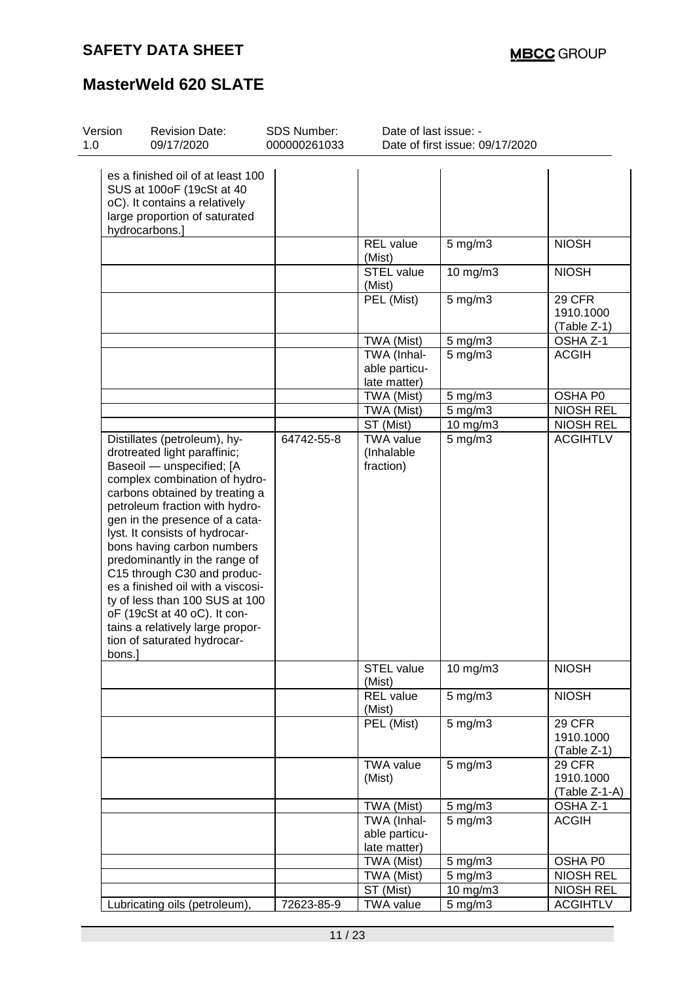| Version<br>1.0 | <b>Revision Date:</b><br>09/17/2020                                                                                                                                                                                                                                                                                                                                                                                                                                                                                                        | SDS Number:<br>000000261033 | Date of last issue: -                        | Date of first issue: 09/17/2020 |                                      |
|----------------|--------------------------------------------------------------------------------------------------------------------------------------------------------------------------------------------------------------------------------------------------------------------------------------------------------------------------------------------------------------------------------------------------------------------------------------------------------------------------------------------------------------------------------------------|-----------------------------|----------------------------------------------|---------------------------------|--------------------------------------|
|                | es a finished oil of at least 100<br>SUS at 100oF (19cSt at 40<br>oC). It contains a relatively<br>large proportion of saturated<br>hydrocarbons.]                                                                                                                                                                                                                                                                                                                                                                                         |                             |                                              |                                 |                                      |
|                |                                                                                                                                                                                                                                                                                                                                                                                                                                                                                                                                            |                             | REL value<br>(Mist)                          | $5 \text{ mg/m}$ 3              | <b>NIOSH</b>                         |
|                |                                                                                                                                                                                                                                                                                                                                                                                                                                                                                                                                            |                             | <b>STEL value</b><br>(Mist)                  | 10 mg/m3                        | <b>NIOSH</b>                         |
|                |                                                                                                                                                                                                                                                                                                                                                                                                                                                                                                                                            |                             | PEL (Mist)                                   | $5$ mg/m $3$                    | 29 CFR<br>1910.1000<br>$(Table Z-1)$ |
|                |                                                                                                                                                                                                                                                                                                                                                                                                                                                                                                                                            |                             | TWA (Mist)                                   | $5 \text{ mg/m}$ 3              | OSHA Z-1                             |
|                |                                                                                                                                                                                                                                                                                                                                                                                                                                                                                                                                            |                             | TWA (Inhal-<br>able particu-<br>late matter) | $5$ mg/m $3$                    | <b>ACGIH</b>                         |
|                |                                                                                                                                                                                                                                                                                                                                                                                                                                                                                                                                            |                             | TWA (Mist)                                   | $5 \text{ mg/m}$ 3              | OSHA P0                              |
|                |                                                                                                                                                                                                                                                                                                                                                                                                                                                                                                                                            |                             | TWA (Mist)                                   | $5 \text{ mg/m}$ 3              | NIOSH REL                            |
|                |                                                                                                                                                                                                                                                                                                                                                                                                                                                                                                                                            |                             | ST (Mist)                                    | 10 mg/m3                        | <b>NIOSH REL</b>                     |
| bons.          | Distillates (petroleum), hy-<br>drotreated light paraffinic;<br>Baseoil - unspecified; [A<br>complex combination of hydro-<br>carbons obtained by treating a<br>petroleum fraction with hydro-<br>gen in the presence of a cata-<br>lyst. It consists of hydrocar-<br>bons having carbon numbers<br>predominantly in the range of<br>C15 through C30 and produc-<br>es a finished oil with a viscosi-<br>ty of less than 100 SUS at 100<br>oF (19cSt at 40 oC). It con-<br>tains a relatively large propor-<br>tion of saturated hydrocar- | 64742-55-8                  | <b>TWA value</b><br>(Inhalable<br>fraction)  | $5$ mg/m $3$                    | <b>ACGIHTLV</b>                      |
|                |                                                                                                                                                                                                                                                                                                                                                                                                                                                                                                                                            |                             | <b>STEL value</b><br>(Mist)                  | 10 mg/m3                        | <b>NIOSH</b>                         |
|                |                                                                                                                                                                                                                                                                                                                                                                                                                                                                                                                                            |                             | REL value<br>(Mist)                          | $5 \text{ mg/m}$ 3              | <b>NIOSH</b>                         |
|                |                                                                                                                                                                                                                                                                                                                                                                                                                                                                                                                                            |                             | PEL (Mist)                                   | $5 \text{ mg/m}$ 3              | 29 CFR<br>1910.1000<br>(Table Z-1)   |
|                |                                                                                                                                                                                                                                                                                                                                                                                                                                                                                                                                            |                             | <b>TWA value</b><br>(Mist)                   | $5$ mg/m $3$                    | 29 CFR<br>1910.1000<br>(Table Z-1-A) |
|                |                                                                                                                                                                                                                                                                                                                                                                                                                                                                                                                                            |                             | TWA (Mist)                                   | $5$ mg/m $3$                    | OSHA Z-1                             |
|                |                                                                                                                                                                                                                                                                                                                                                                                                                                                                                                                                            |                             | TWA (Inhal-<br>able particu-<br>late matter) | $5$ mg/m $3$                    | <b>ACGIH</b>                         |
|                |                                                                                                                                                                                                                                                                                                                                                                                                                                                                                                                                            |                             | TWA (Mist)                                   | $5$ mg/m $3$                    | OSHA P0                              |
|                |                                                                                                                                                                                                                                                                                                                                                                                                                                                                                                                                            |                             | TWA (Mist)                                   | $5$ mg/m $3$                    | <b>NIOSH REL</b>                     |
|                |                                                                                                                                                                                                                                                                                                                                                                                                                                                                                                                                            |                             | ST (Mist)                                    | 10 mg/m3                        | <b>NIOSH REL</b>                     |
|                | Lubricating oils (petroleum),                                                                                                                                                                                                                                                                                                                                                                                                                                                                                                              | 72623-85-9                  | <b>TWA value</b>                             | $5$ mg/m $3$                    | <b>ACGIHTLV</b>                      |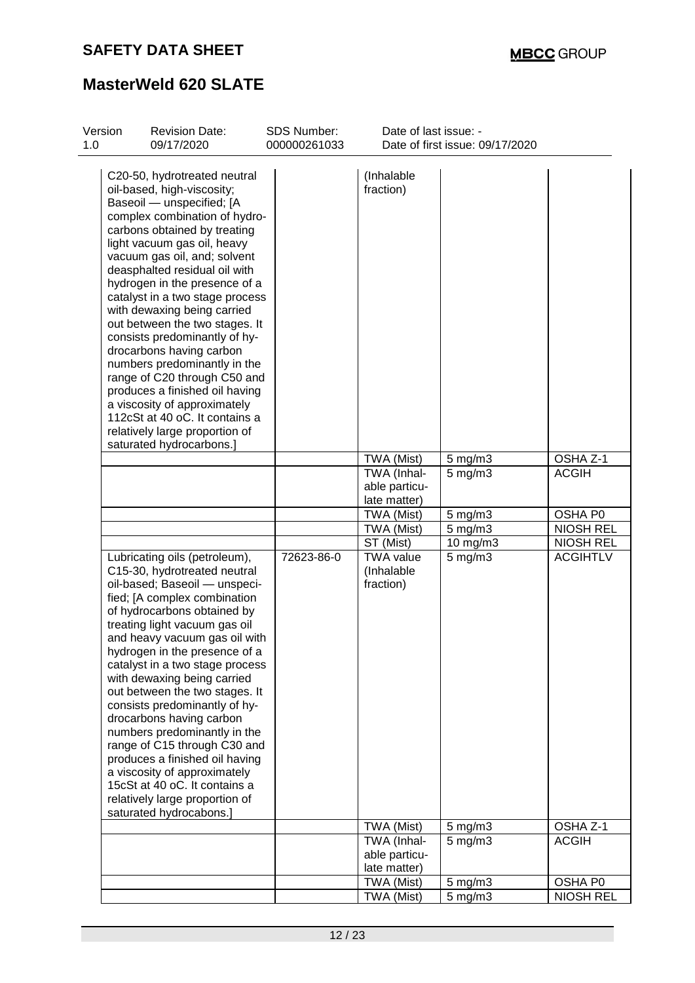| Version<br>1.0 | <b>Revision Date:</b><br>09/17/2020                                                                                                                                                                                                                                                                                                                                                                                                                                                                                                                                                                                                                               | SDS Number:<br>000000261033 | Date of last issue: -                                      | Date of first issue: 09/17/2020    |                          |
|----------------|-------------------------------------------------------------------------------------------------------------------------------------------------------------------------------------------------------------------------------------------------------------------------------------------------------------------------------------------------------------------------------------------------------------------------------------------------------------------------------------------------------------------------------------------------------------------------------------------------------------------------------------------------------------------|-----------------------------|------------------------------------------------------------|------------------------------------|--------------------------|
|                | C20-50, hydrotreated neutral<br>oil-based, high-viscosity;<br>Baseoil - unspecified; [A<br>complex combination of hydro-<br>carbons obtained by treating<br>light vacuum gas oil, heavy<br>vacuum gas oil, and; solvent<br>deasphalted residual oil with<br>hydrogen in the presence of a<br>catalyst in a two stage process<br>with dewaxing being carried<br>out between the two stages. It<br>consists predominantly of hy-<br>drocarbons having carbon<br>numbers predominantly in the<br>range of C20 through C50 and<br>produces a finished oil having<br>a viscosity of approximately<br>112cSt at 40 oC. It contains a<br>relatively large proportion of  |                             | (Inhalable<br>fraction)                                    |                                    |                          |
|                | saturated hydrocarbons.]                                                                                                                                                                                                                                                                                                                                                                                                                                                                                                                                                                                                                                          |                             |                                                            |                                    |                          |
|                |                                                                                                                                                                                                                                                                                                                                                                                                                                                                                                                                                                                                                                                                   |                             | TWA (Mist)<br>TWA (Inhal-<br>able particu-<br>late matter) | $5 \text{ mg/m}$ 3<br>$5$ mg/m $3$ | OSHA Z-1<br><b>ACGIH</b> |
|                |                                                                                                                                                                                                                                                                                                                                                                                                                                                                                                                                                                                                                                                                   |                             | TWA (Mist)                                                 | $5$ mg/m $3$                       | OSHA P0                  |
|                |                                                                                                                                                                                                                                                                                                                                                                                                                                                                                                                                                                                                                                                                   |                             | TWA (Mist)                                                 | $5$ mg/m $3$                       | <b>NIOSH REL</b>         |
|                |                                                                                                                                                                                                                                                                                                                                                                                                                                                                                                                                                                                                                                                                   |                             | ST (Mist)                                                  | $10$ mg/m $3$                      | <b>NIOSH REL</b>         |
|                | Lubricating oils (petroleum),<br>C15-30, hydrotreated neutral<br>oil-based; Baseoil - unspeci-<br>fied; [A complex combination<br>of hydrocarbons obtained by<br>treating light vacuum gas oil<br>and heavy vacuum gas oil with<br>hydrogen in the presence of a<br>catalyst in a two stage process<br>with dewaxing being carried<br>out between the two stages. It<br>consists predominantly of hy-<br>drocarbons having carbon<br>numbers predominantly in the<br>range of C15 through C30 and<br>produces a finished oil having<br>a viscosity of approximately<br>15cSt at 40 oC. It contains a<br>relatively large proportion of<br>saturated hydrocabons.] | 72623-86-0                  | <b>TWA value</b><br>(Inhalable<br>fraction)                | $5$ mg/m $3$                       | <b>ACGIHTLV</b>          |
|                |                                                                                                                                                                                                                                                                                                                                                                                                                                                                                                                                                                                                                                                                   |                             | TWA (Mist)                                                 | $5$ mg/m $3$                       | OSHA Z-1                 |
|                |                                                                                                                                                                                                                                                                                                                                                                                                                                                                                                                                                                                                                                                                   |                             | TWA (Inhal-<br>able particu-<br>late matter)               | $5$ mg/m $3$                       | <b>ACGIH</b>             |
|                |                                                                                                                                                                                                                                                                                                                                                                                                                                                                                                                                                                                                                                                                   |                             | TWA (Mist)                                                 | 5 mg/m3                            | OSHA P0                  |
|                |                                                                                                                                                                                                                                                                                                                                                                                                                                                                                                                                                                                                                                                                   |                             | TWA (Mist)                                                 | $5$ mg/m $3$                       | <b>NIOSH REL</b>         |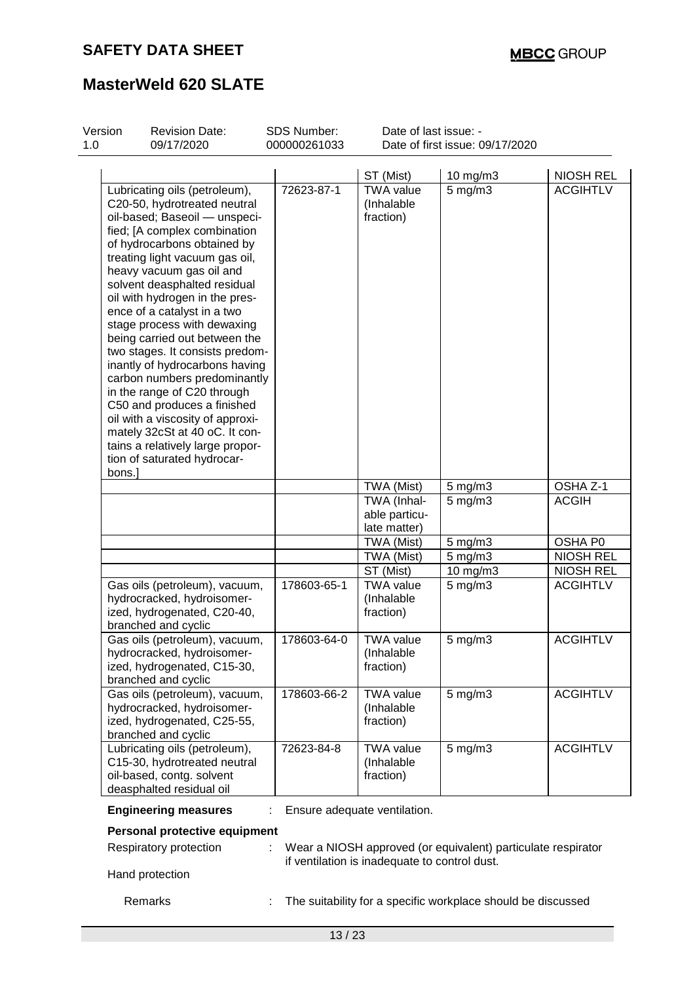| Version<br>1.0 | <b>Revision Date:</b><br>09/17/2020                                                                                                                                                                                                                                                                                                                                                                                                                                                                                                                                                                                                                                                                      | SDS Number:<br>000000261033 | Date of last issue: -<br>Date of first issue: 09/17/2020 |                                                              |                  |
|----------------|----------------------------------------------------------------------------------------------------------------------------------------------------------------------------------------------------------------------------------------------------------------------------------------------------------------------------------------------------------------------------------------------------------------------------------------------------------------------------------------------------------------------------------------------------------------------------------------------------------------------------------------------------------------------------------------------------------|-----------------------------|----------------------------------------------------------|--------------------------------------------------------------|------------------|
|                |                                                                                                                                                                                                                                                                                                                                                                                                                                                                                                                                                                                                                                                                                                          |                             | ST (Mist)                                                | 10 mg/m3                                                     | <b>NIOSH REL</b> |
| bons.]         | Lubricating oils (petroleum),<br>C20-50, hydrotreated neutral<br>oil-based; Baseoil - unspeci-<br>fied; [A complex combination<br>of hydrocarbons obtained by<br>treating light vacuum gas oil,<br>heavy vacuum gas oil and<br>solvent deasphalted residual<br>oil with hydrogen in the pres-<br>ence of a catalyst in a two<br>stage process with dewaxing<br>being carried out between the<br>two stages. It consists predom-<br>inantly of hydrocarbons having<br>carbon numbers predominantly<br>in the range of C20 through<br>C50 and produces a finished<br>oil with a viscosity of approxi-<br>mately 32cSt at 40 oC. It con-<br>tains a relatively large propor-<br>tion of saturated hydrocar- | 72623-87-1                  | <b>TWA value</b><br>(Inhalable<br>fraction)              | $5$ mg/m $3$                                                 | <b>ACGIHTLV</b>  |
|                |                                                                                                                                                                                                                                                                                                                                                                                                                                                                                                                                                                                                                                                                                                          |                             | TWA (Mist)                                               | $5 \text{ mg/m}$ 3                                           | OSHA Z-1         |
|                |                                                                                                                                                                                                                                                                                                                                                                                                                                                                                                                                                                                                                                                                                                          |                             | TWA (Inhal-<br>able particu-<br>late matter)             | $5$ mg/m $3$                                                 | <b>ACGIH</b>     |
|                |                                                                                                                                                                                                                                                                                                                                                                                                                                                                                                                                                                                                                                                                                                          |                             | TWA (Mist)                                               | $5 \text{ mg/m}$ 3                                           | OSHA P0          |
|                |                                                                                                                                                                                                                                                                                                                                                                                                                                                                                                                                                                                                                                                                                                          |                             | TWA (Mist)                                               | $5$ mg/m $3$                                                 | <b>NIOSH REL</b> |
|                |                                                                                                                                                                                                                                                                                                                                                                                                                                                                                                                                                                                                                                                                                                          |                             | ST (Mist)                                                | $10$ mg/m $3$                                                | <b>NIOSH REL</b> |
|                | Gas oils (petroleum), vacuum,<br>hydrocracked, hydroisomer-<br>ized, hydrogenated, C20-40,<br>branched and cyclic                                                                                                                                                                                                                                                                                                                                                                                                                                                                                                                                                                                        | 178603-65-1                 | <b>TWA value</b><br>(Inhalable<br>fraction)              | $5$ mg/m $3$                                                 | <b>ACGIHTLV</b>  |
|                | Gas oils (petroleum), vacuum,<br>hydrocracked, hydroisomer-<br>ized, hydrogenated, C15-30,<br>branched and cyclic                                                                                                                                                                                                                                                                                                                                                                                                                                                                                                                                                                                        | 178603-64-0                 | <b>TWA value</b><br>(Inhalable<br>fraction)              | $5$ mg/m $3$                                                 | <b>ACGIHTLV</b>  |
|                | Gas oils (petroleum), vacuum,<br>hydrocracked, hydroisomer-<br>ized, hydrogenated, C25-55,<br>branched and cyclic                                                                                                                                                                                                                                                                                                                                                                                                                                                                                                                                                                                        | 178603-66-2                 | <b>TWA value</b><br>(Inhalable<br>fraction)              | $5$ mg/m $3$                                                 | <b>ACGIHTLV</b>  |
|                | Lubricating oils (petroleum),<br>C15-30, hydrotreated neutral<br>oil-based, contg. solvent<br>deasphalted residual oil                                                                                                                                                                                                                                                                                                                                                                                                                                                                                                                                                                                   | 72623-84-8                  | <b>TWA value</b><br>(Inhalable<br>fraction)              | $5$ mg/m $3$                                                 | <b>ACGIHTLV</b>  |
|                | <b>Engineering measures</b>                                                                                                                                                                                                                                                                                                                                                                                                                                                                                                                                                                                                                                                                              |                             | Ensure adequate ventilation.                             |                                                              |                  |
|                | Personal protective equipment                                                                                                                                                                                                                                                                                                                                                                                                                                                                                                                                                                                                                                                                            |                             |                                                          |                                                              |                  |
|                | Respiratory protection                                                                                                                                                                                                                                                                                                                                                                                                                                                                                                                                                                                                                                                                                   |                             | if ventilation is inadequate to control dust.            | Wear a NIOSH approved (or equivalent) particulate respirator |                  |
|                | Hand protection                                                                                                                                                                                                                                                                                                                                                                                                                                                                                                                                                                                                                                                                                          |                             |                                                          |                                                              |                  |
|                | Remarks                                                                                                                                                                                                                                                                                                                                                                                                                                                                                                                                                                                                                                                                                                  |                             |                                                          | The suitability for a specific workplace should be discussed |                  |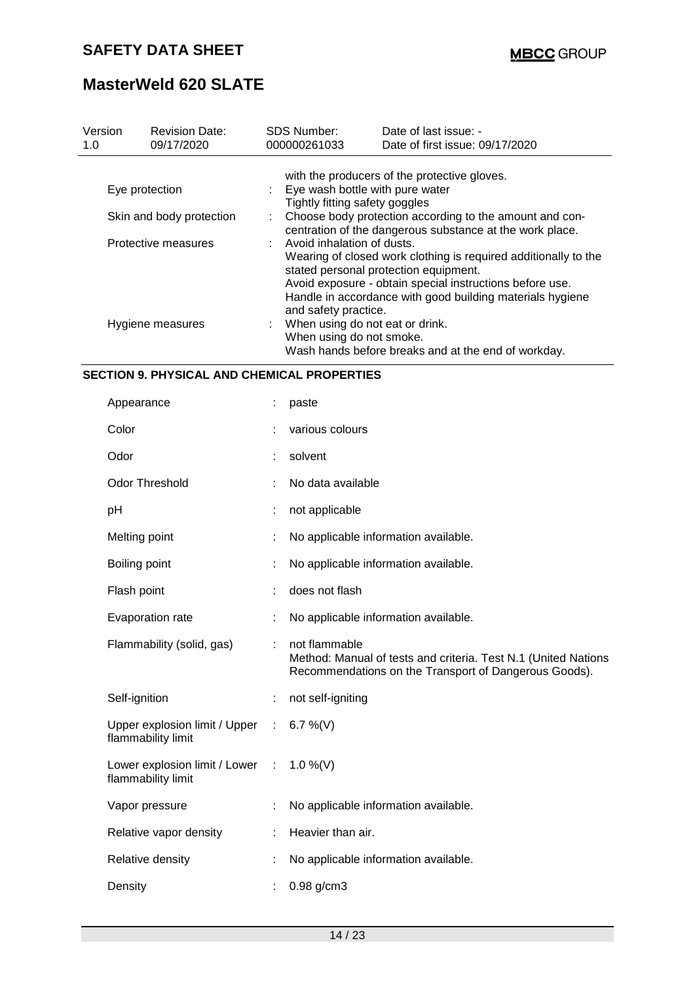| Version<br>1.0                                                                                                                  | <b>Revision Date:</b><br>09/17/2020 | <b>SDS Number:</b><br>000000261033                                  | Date of last issue: -<br>Date of first issue: 09/17/2020                                                                                                                                 |  |  |  |  |
|---------------------------------------------------------------------------------------------------------------------------------|-------------------------------------|---------------------------------------------------------------------|------------------------------------------------------------------------------------------------------------------------------------------------------------------------------------------|--|--|--|--|
|                                                                                                                                 |                                     |                                                                     | with the producers of the protective gloves.                                                                                                                                             |  |  |  |  |
|                                                                                                                                 | Eye protection                      | : Eye wash bottle with pure water<br>Tightly fitting safety goggles |                                                                                                                                                                                          |  |  |  |  |
|                                                                                                                                 | Skin and body protection            |                                                                     | Choose body protection according to the amount and con-<br>centration of the dangerous substance at the work place.                                                                      |  |  |  |  |
| $\therefore$ Avoid inhalation of dusts.<br>Protective measures<br>stated personal protection equipment.<br>and safety practice. |                                     |                                                                     | Wearing of closed work clothing is required additionally to the<br>Avoid exposure - obtain special instructions before use.<br>Handle in accordance with good building materials hygiene |  |  |  |  |
|                                                                                                                                 | Hygiene measures                    |                                                                     | : When using do not eat or drink.<br>When using do not smoke.<br>Wash hands before breaks and at the end of workday.                                                                     |  |  |  |  |

### **SECTION 9. PHYSICAL AND CHEMICAL PROPERTIES**

| Appearance                                          |            | paste                                                                                                                                    |
|-----------------------------------------------------|------------|------------------------------------------------------------------------------------------------------------------------------------------|
| Color                                               |            | various colours                                                                                                                          |
| Odor                                                |            | solvent                                                                                                                                  |
| <b>Odor Threshold</b>                               |            | No data available                                                                                                                        |
| рH                                                  |            | not applicable                                                                                                                           |
| Melting point                                       |            | No applicable information available.                                                                                                     |
| Boiling point                                       |            | No applicable information available.                                                                                                     |
| Flash point                                         |            | does not flash                                                                                                                           |
| Evaporation rate                                    |            | No applicable information available.                                                                                                     |
| Flammability (solid, gas)                           |            | not flammable<br>Method: Manual of tests and criteria. Test N.1 (United Nations<br>Recommendations on the Transport of Dangerous Goods). |
| Self-ignition                                       |            | not self-igniting                                                                                                                        |
| Upper explosion limit / Upper<br>flammability limit | $\sim$ 1.  | 6.7 %(V)                                                                                                                                 |
| Lower explosion limit / Lower<br>flammability limit | $\sim 100$ | $1.0\%$ (V)                                                                                                                              |
| Vapor pressure                                      |            | No applicable information available.                                                                                                     |
| Relative vapor density                              |            | Heavier than air.                                                                                                                        |
| Relative density                                    |            | No applicable information available.                                                                                                     |
| Density                                             |            | $0.98$ g/cm3                                                                                                                             |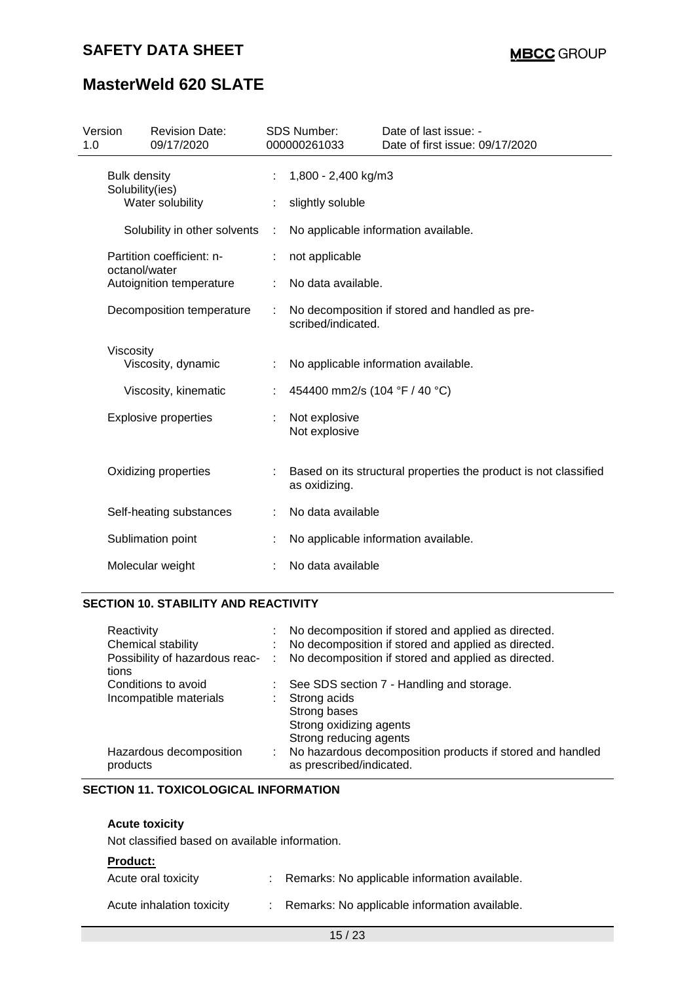# **MasterWeld 620 SLATE**

| Version<br>1.0                                             | <b>Revision Date:</b><br>09/17/2020        |                                           | <b>SDS Number:</b><br>000000261033                                   | Date of last issue: -<br>Date of first issue: 09/17/2020         |  |  |  |  |
|------------------------------------------------------------|--------------------------------------------|-------------------------------------------|----------------------------------------------------------------------|------------------------------------------------------------------|--|--|--|--|
| <b>Bulk density</b><br>Solubility(ies)<br>Water solubility |                                            |                                           | 1,800 - 2,400 kg/m3<br>slightly soluble                              |                                                                  |  |  |  |  |
|                                                            | Solubility in other solvents               | No applicable information available.<br>÷ |                                                                      |                                                                  |  |  |  |  |
|                                                            | Partition coefficient: n-<br>octanol/water |                                           | not applicable                                                       |                                                                  |  |  |  |  |
|                                                            | Autoignition temperature                   |                                           | No data available.                                                   |                                                                  |  |  |  |  |
| Decomposition temperature                                  |                                            |                                           | No decomposition if stored and handled as pre-<br>scribed/indicated. |                                                                  |  |  |  |  |
|                                                            | Viscosity<br>Viscosity, dynamic            | ÷                                         |                                                                      | No applicable information available.                             |  |  |  |  |
|                                                            | Viscosity, kinematic                       | ÷                                         | 454400 mm2/s (104 °F / 40 °C)                                        |                                                                  |  |  |  |  |
|                                                            | <b>Explosive properties</b>                |                                           | Not explosive<br>Not explosive                                       |                                                                  |  |  |  |  |
|                                                            | Oxidizing properties                       |                                           | as oxidizing.                                                        | Based on its structural properties the product is not classified |  |  |  |  |
|                                                            | Self-heating substances                    |                                           | No data available                                                    |                                                                  |  |  |  |  |
|                                                            | Sublimation point                          |                                           |                                                                      | No applicable information available.                             |  |  |  |  |
|                                                            | Molecular weight                           |                                           | No data available                                                    |                                                                  |  |  |  |  |
|                                                            |                                            |                                           |                                                                      |                                                                  |  |  |  |  |

### **SECTION 10. STABILITY AND REACTIVITY**

| Reactivity<br>Chemical stability<br>Possibility of hazardous reac- :<br>tions |    | No decomposition if stored and applied as directed.<br>No decomposition if stored and applied as directed.<br>No decomposition if stored and applied as directed. |
|-------------------------------------------------------------------------------|----|-------------------------------------------------------------------------------------------------------------------------------------------------------------------|
| Conditions to avoid<br>Incompatible materials                                 | ÷. | See SDS section 7 - Handling and storage.<br>Strong acids<br>Strong bases<br>Strong oxidizing agents<br>Strong reducing agents                                    |
| Hazardous decomposition<br>products                                           | ÷. | No hazardous decomposition products if stored and handled<br>as prescribed/indicated.                                                                             |

#### **SECTION 11. TOXICOLOGICAL INFORMATION**

### **Acute toxicity**

Not classified based on available information.

### **Product:**

| Acute oral toxicity       | : Remarks: No applicable information available. |
|---------------------------|-------------------------------------------------|
| Acute inhalation toxicity | : Remarks: No applicable information available. |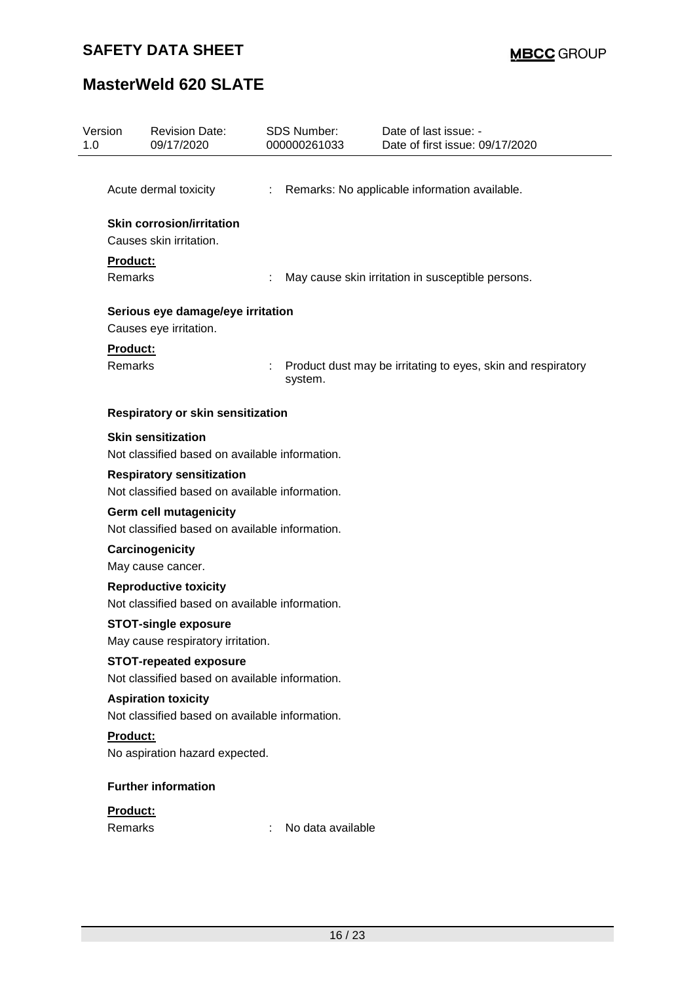| Version<br>1.0 |                            | <b>Revision Date:</b><br>09/17/2020                                                |    | <b>SDS Number:</b><br>000000261033 | Date of last issue: -<br>Date of first issue: 09/17/2020     |
|----------------|----------------------------|------------------------------------------------------------------------------------|----|------------------------------------|--------------------------------------------------------------|
|                |                            | Acute dermal toxicity                                                              | ÷. |                                    | Remarks: No applicable information available.                |
|                |                            | <b>Skin corrosion/irritation</b><br>Causes skin irritation.                        |    |                                    |                                                              |
|                | Product:<br><b>Remarks</b> |                                                                                    |    |                                    | May cause skin irritation in susceptible persons.            |
|                |                            | Serious eye damage/eye irritation<br>Causes eye irritation.                        |    |                                    |                                                              |
|                | Product:<br>Remarks        |                                                                                    |    | system.                            | Product dust may be irritating to eyes, skin and respiratory |
|                |                            | Respiratory or skin sensitization                                                  |    |                                    |                                                              |
|                |                            | <b>Skin sensitization</b><br>Not classified based on available information.        |    |                                    |                                                              |
|                |                            | <b>Respiratory sensitization</b><br>Not classified based on available information. |    |                                    |                                                              |
|                |                            | <b>Germ cell mutagenicity</b><br>Not classified based on available information.    |    |                                    |                                                              |
|                |                            | Carcinogenicity<br>May cause cancer.                                               |    |                                    |                                                              |
|                |                            | <b>Reproductive toxicity</b><br>Not classified based on available information.     |    |                                    |                                                              |
|                |                            | <b>STOT-single exposure</b><br>May cause respiratory irritation.                   |    |                                    |                                                              |
|                |                            | <b>STOT-repeated exposure</b><br>Not classified based on available information.    |    |                                    |                                                              |
|                |                            | <b>Aspiration toxicity</b><br>Not classified based on available information.       |    |                                    |                                                              |
|                | Product:                   | No aspiration hazard expected.                                                     |    |                                    |                                                              |
|                |                            | <b>Further information</b>                                                         |    |                                    |                                                              |
|                | Product:<br>Remarks        |                                                                                    |    | No data available                  |                                                              |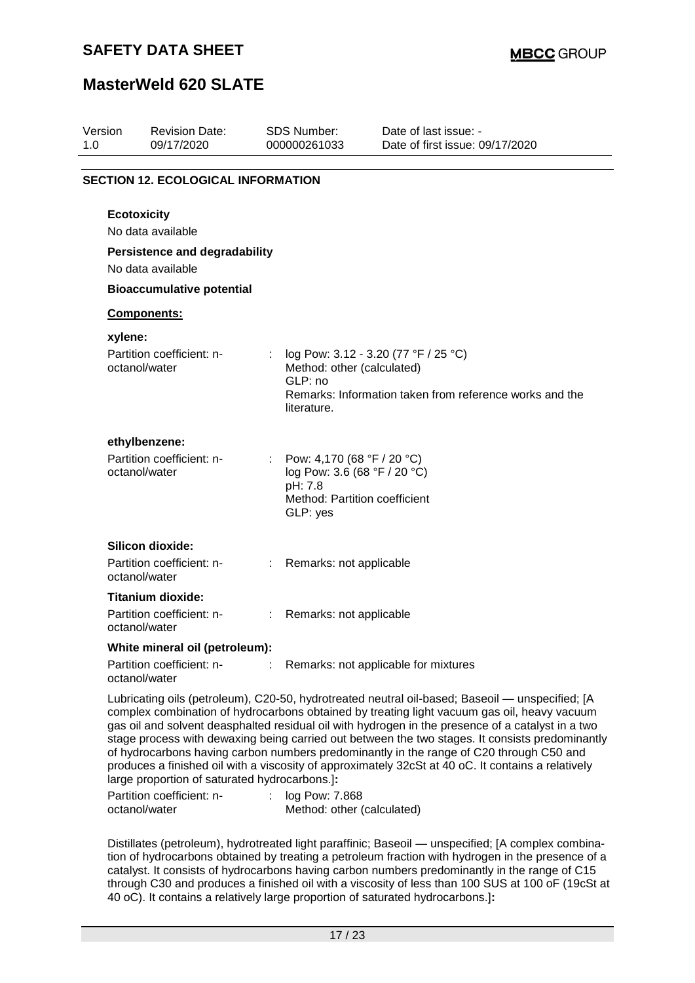| Version<br>1.0 | <b>Revision Date:</b><br>09/17/2020                                    |    | <b>SDS Number:</b><br>000000261033                                                                                   | Date of last issue: -<br>Date of first issue: 09/17/2020                                                                                                                                                                                                                                                                                                                                              |
|----------------|------------------------------------------------------------------------|----|----------------------------------------------------------------------------------------------------------------------|-------------------------------------------------------------------------------------------------------------------------------------------------------------------------------------------------------------------------------------------------------------------------------------------------------------------------------------------------------------------------------------------------------|
|                | <b>SECTION 12. ECOLOGICAL INFORMATION</b>                              |    |                                                                                                                      |                                                                                                                                                                                                                                                                                                                                                                                                       |
|                | <b>Ecotoxicity</b><br>No data available                                |    |                                                                                                                      |                                                                                                                                                                                                                                                                                                                                                                                                       |
|                | <b>Persistence and degradability</b><br>No data available              |    |                                                                                                                      |                                                                                                                                                                                                                                                                                                                                                                                                       |
|                | <b>Bioaccumulative potential</b>                                       |    |                                                                                                                      |                                                                                                                                                                                                                                                                                                                                                                                                       |
|                | Components:                                                            |    |                                                                                                                      |                                                                                                                                                                                                                                                                                                                                                                                                       |
| xylene:        |                                                                        |    |                                                                                                                      |                                                                                                                                                                                                                                                                                                                                                                                                       |
|                | Partition coefficient: n-<br>octanol/water                             |    | Method: other (calculated)<br>GLP: no<br>literature.                                                                 | log Pow: 3.12 - 3.20 (77 °F / 25 °C)<br>Remarks: Information taken from reference works and the                                                                                                                                                                                                                                                                                                       |
|                | ethylbenzene:                                                          |    |                                                                                                                      |                                                                                                                                                                                                                                                                                                                                                                                                       |
|                | Partition coefficient: n-<br>octanol/water                             |    | : Pow: 4,170 (68 °F / 20 °C)<br>log Pow: 3.6 (68 °F / 20 °C)<br>pH: 7.8<br>Method: Partition coefficient<br>GLP: yes |                                                                                                                                                                                                                                                                                                                                                                                                       |
|                | Silicon dioxide:                                                       |    |                                                                                                                      |                                                                                                                                                                                                                                                                                                                                                                                                       |
|                | Partition coefficient: n-<br>octanol/water                             |    | Remarks: not applicable                                                                                              |                                                                                                                                                                                                                                                                                                                                                                                                       |
|                | <b>Titanium dioxide:</b><br>Partition coefficient: n-<br>octanol/water | ÷. | Remarks: not applicable                                                                                              |                                                                                                                                                                                                                                                                                                                                                                                                       |
|                | White mineral oil (petroleum):                                         |    |                                                                                                                      |                                                                                                                                                                                                                                                                                                                                                                                                       |
|                | Partition coefficient: n-<br>octanol/water                             |    |                                                                                                                      | Remarks: not applicable for mixtures                                                                                                                                                                                                                                                                                                                                                                  |
|                |                                                                        |    |                                                                                                                      | Lubricating oils (petroleum), C20-50, hydrotreated neutral oil-based; Baseoil — unspecified; [A<br>complex combination of hydrocarbons obtained by treating light vacuum gas oil, heavy vacuum<br>gas oil and solvent deasphalted residual oil with hydrogen in the presence of a catalyst in a two<br>stage process with dewaxing being carried out between the two stages. It consists predominantl |

stage process with dewaxing being carried out between the two stages. It consists predominantly of hydrocarbons having carbon numbers predominantly in the range of C20 through C50 and produces a finished oil with a viscosity of approximately 32cSt at 40 oC. It contains a relatively large proportion of saturated hydrocarbons.]**:**

| Partition coefficient: n- | log Pow: 7.868             |
|---------------------------|----------------------------|
| octanol/water             | Method: other (calculated) |

Distillates (petroleum), hydrotreated light paraffinic; Baseoil — unspecified; [A complex combination of hydrocarbons obtained by treating a petroleum fraction with hydrogen in the presence of a catalyst. It consists of hydrocarbons having carbon numbers predominantly in the range of C15 through C30 and produces a finished oil with a viscosity of less than 100 SUS at 100 oF (19cSt at 40 oC). It contains a relatively large proportion of saturated hydrocarbons.]**:**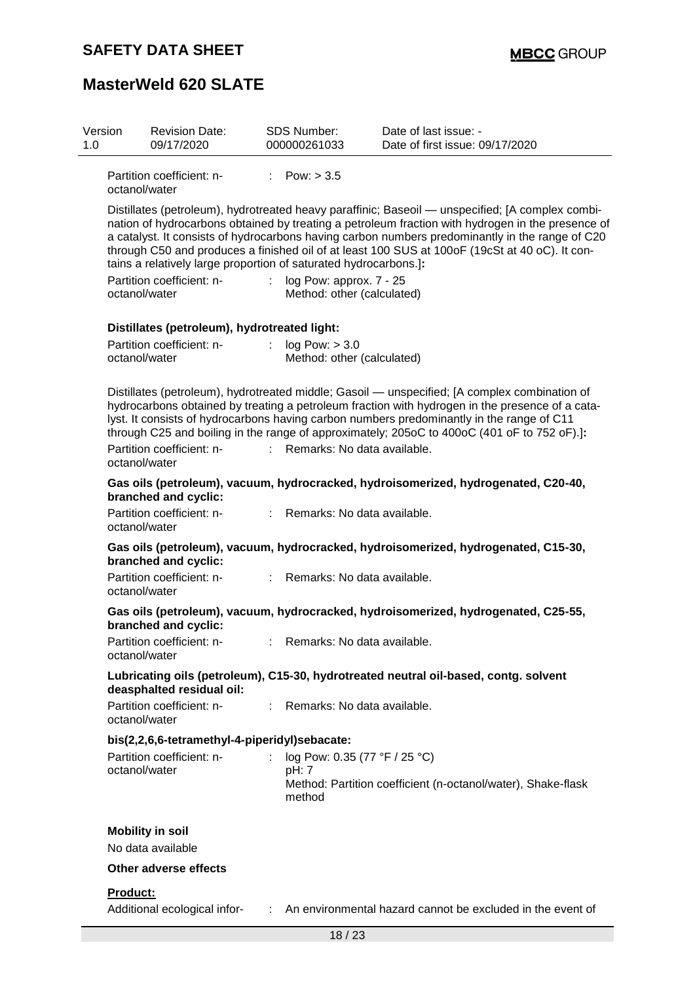| Version<br>1.0 | <b>Revision Date:</b><br>09/17/2020                                                                                                                                                                                                                                                                                                                                                                                                                                            | SDS Number:<br>000000261033                                 | Date of last issue: -<br>Date of first issue: 09/17/2020                                                                                                                                                                                                                                                                                                                                     |  |  |  |
|----------------|--------------------------------------------------------------------------------------------------------------------------------------------------------------------------------------------------------------------------------------------------------------------------------------------------------------------------------------------------------------------------------------------------------------------------------------------------------------------------------|-------------------------------------------------------------|----------------------------------------------------------------------------------------------------------------------------------------------------------------------------------------------------------------------------------------------------------------------------------------------------------------------------------------------------------------------------------------------|--|--|--|
|                | Partition coefficient: n-<br>octanol/water                                                                                                                                                                                                                                                                                                                                                                                                                                     | : $Pow: > 3.5$                                              |                                                                                                                                                                                                                                                                                                                                                                                              |  |  |  |
|                | Distillates (petroleum), hydrotreated heavy paraffinic; Baseoil — unspecified; [A complex combi-<br>nation of hydrocarbons obtained by treating a petroleum fraction with hydrogen in the presence of<br>a catalyst. It consists of hydrocarbons having carbon numbers predominantly in the range of C20<br>through C50 and produces a finished oil of at least 100 SUS at 100oF (19cSt at 40 oC). It con-<br>tains a relatively large proportion of saturated hydrocarbons.]: |                                                             |                                                                                                                                                                                                                                                                                                                                                                                              |  |  |  |
|                | Partition coefficient: n-<br>octanol/water                                                                                                                                                                                                                                                                                                                                                                                                                                     | log Pow: approx. 7 - 25<br>÷.<br>Method: other (calculated) |                                                                                                                                                                                                                                                                                                                                                                                              |  |  |  |
|                | Distillates (petroleum), hydrotreated light:                                                                                                                                                                                                                                                                                                                                                                                                                                   |                                                             |                                                                                                                                                                                                                                                                                                                                                                                              |  |  |  |
|                | Partition coefficient: n-<br>octanol/water                                                                                                                                                                                                                                                                                                                                                                                                                                     | $\mathbb{R}^{\mathbb{Z}}$<br>log Pow: > 3.0                 | Method: other (calculated)                                                                                                                                                                                                                                                                                                                                                                   |  |  |  |
|                |                                                                                                                                                                                                                                                                                                                                                                                                                                                                                |                                                             | Distillates (petroleum), hydrotreated middle; Gasoil — unspecified; [A complex combination of<br>hydrocarbons obtained by treating a petroleum fraction with hydrogen in the presence of a cata-<br>lyst. It consists of hydrocarbons having carbon numbers predominantly in the range of C11<br>through C25 and boiling in the range of approximately; 205oC to 400oC (401 oF to 752 oF).]: |  |  |  |
|                | Partition coefficient: n-<br>octanol/water                                                                                                                                                                                                                                                                                                                                                                                                                                     |                                                             | Remarks: No data available.                                                                                                                                                                                                                                                                                                                                                                  |  |  |  |
|                | branched and cyclic:                                                                                                                                                                                                                                                                                                                                                                                                                                                           |                                                             | Gas oils (petroleum), vacuum, hydrocracked, hydroisomerized, hydrogenated, C20-40,                                                                                                                                                                                                                                                                                                           |  |  |  |
|                | Partition coefficient: n-<br>octanol/water                                                                                                                                                                                                                                                                                                                                                                                                                                     |                                                             | : Remarks: No data available.                                                                                                                                                                                                                                                                                                                                                                |  |  |  |
|                | branched and cyclic:                                                                                                                                                                                                                                                                                                                                                                                                                                                           |                                                             | Gas oils (petroleum), vacuum, hydrocracked, hydroisomerized, hydrogenated, C15-30,                                                                                                                                                                                                                                                                                                           |  |  |  |
|                | Partition coefficient: n-<br>octanol/water                                                                                                                                                                                                                                                                                                                                                                                                                                     | t.                                                          | Remarks: No data available.                                                                                                                                                                                                                                                                                                                                                                  |  |  |  |
|                | branched and cyclic:                                                                                                                                                                                                                                                                                                                                                                                                                                                           |                                                             | Gas oils (petroleum), vacuum, hydrocracked, hydroisomerized, hydrogenated, C25-55,                                                                                                                                                                                                                                                                                                           |  |  |  |
|                | Partition coefficient: n-<br>octanol/water                                                                                                                                                                                                                                                                                                                                                                                                                                     |                                                             | Remarks: No data available.                                                                                                                                                                                                                                                                                                                                                                  |  |  |  |
|                | deasphalted residual oil:                                                                                                                                                                                                                                                                                                                                                                                                                                                      |                                                             | Lubricating oils (petroleum), C15-30, hydrotreated neutral oil-based, contg. solvent                                                                                                                                                                                                                                                                                                         |  |  |  |
|                | Partition coefficient: n-<br>octanol/water                                                                                                                                                                                                                                                                                                                                                                                                                                     |                                                             | Remarks: No data available.                                                                                                                                                                                                                                                                                                                                                                  |  |  |  |
|                | bis(2,2,6,6-tetramethyl-4-piperidyl)sebacate:                                                                                                                                                                                                                                                                                                                                                                                                                                  |                                                             |                                                                                                                                                                                                                                                                                                                                                                                              |  |  |  |
|                | Partition coefficient: n-<br>octanol/water                                                                                                                                                                                                                                                                                                                                                                                                                                     | t<br>pH: 7<br>method                                        | log Pow: 0.35 (77 °F / 25 °C)<br>Method: Partition coefficient (n-octanol/water), Shake-flask                                                                                                                                                                                                                                                                                                |  |  |  |
|                | <b>Mobility in soil</b><br>No data available                                                                                                                                                                                                                                                                                                                                                                                                                                   |                                                             |                                                                                                                                                                                                                                                                                                                                                                                              |  |  |  |
|                | Other adverse effects                                                                                                                                                                                                                                                                                                                                                                                                                                                          |                                                             |                                                                                                                                                                                                                                                                                                                                                                                              |  |  |  |
| Product:       | Additional ecological infor-                                                                                                                                                                                                                                                                                                                                                                                                                                                   |                                                             | : An environmental hazard cannot be excluded in the event of                                                                                                                                                                                                                                                                                                                                 |  |  |  |
|                |                                                                                                                                                                                                                                                                                                                                                                                                                                                                                |                                                             | 18/23                                                                                                                                                                                                                                                                                                                                                                                        |  |  |  |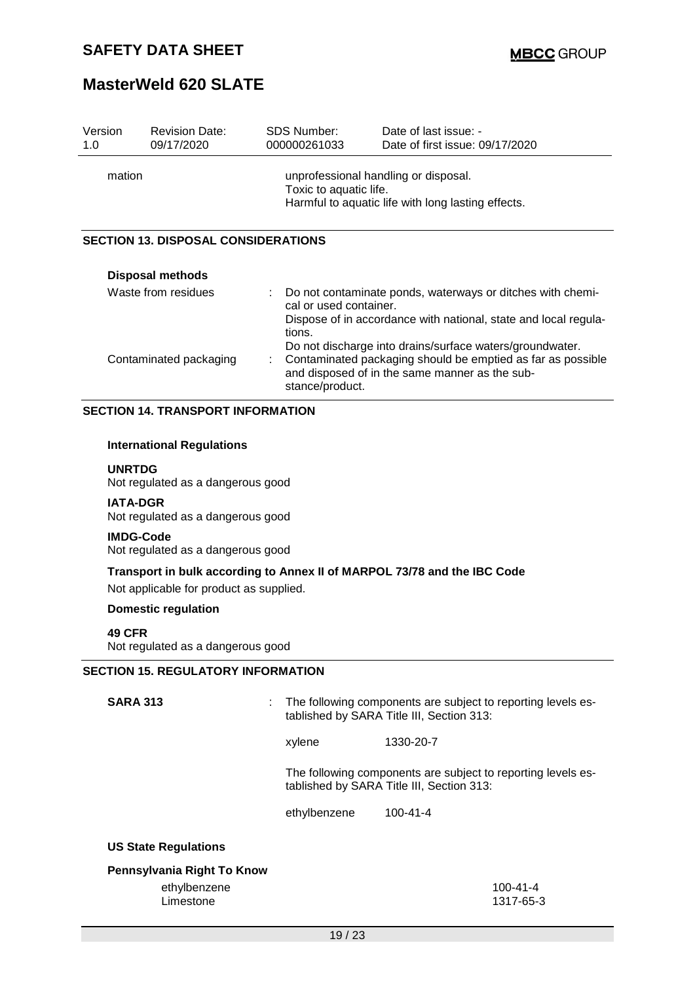| Version<br>1.0 | <b>Revision Date:</b><br>09/17/2020                   | <b>SDS Number:</b><br>000000261033    | Date of last issue: -<br>Date of first issue: 09/17/2020                                                                                                                  |  |  |  |  |
|----------------|-------------------------------------------------------|---------------------------------------|---------------------------------------------------------------------------------------------------------------------------------------------------------------------------|--|--|--|--|
|                | mation                                                |                                       | unprofessional handling or disposal.<br>Toxic to aquatic life.<br>Harmful to aquatic life with long lasting effects.                                                      |  |  |  |  |
|                | <b>SECTION 13. DISPOSAL CONSIDERATIONS</b>            |                                       |                                                                                                                                                                           |  |  |  |  |
|                | <b>Disposal methods</b>                               |                                       |                                                                                                                                                                           |  |  |  |  |
|                | Waste from residues                                   | t<br>cal or used container.<br>tions. | Do not contaminate ponds, waterways or ditches with chemi-<br>Dispose of in accordance with national, state and local regula-                                             |  |  |  |  |
|                | Contaminated packaging                                | stance/product.                       | Do not discharge into drains/surface waters/groundwater.<br>Contaminated packaging should be emptied as far as possible<br>and disposed of in the same manner as the sub- |  |  |  |  |
|                | <b>SECTION 14. TRANSPORT INFORMATION</b>              |                                       |                                                                                                                                                                           |  |  |  |  |
|                | <b>International Regulations</b>                      |                                       |                                                                                                                                                                           |  |  |  |  |
|                | <b>UNRTDG</b><br>Not regulated as a dangerous good    |                                       |                                                                                                                                                                           |  |  |  |  |
|                | <b>IATA-DGR</b><br>Not regulated as a dangerous good  |                                       |                                                                                                                                                                           |  |  |  |  |
|                | <b>IMDG-Code</b><br>Not regulated as a dangerous good |                                       |                                                                                                                                                                           |  |  |  |  |
|                | Not applicable for product as supplied.               |                                       | Transport in bulk according to Annex II of MARPOL 73/78 and the IBC Code                                                                                                  |  |  |  |  |
|                | <b>Domestic regulation</b>                            |                                       |                                                                                                                                                                           |  |  |  |  |
|                | <b>49 CFR</b><br>Not regulated as a dangerous good    |                                       |                                                                                                                                                                           |  |  |  |  |
|                | <b>SECTION 15. REGULATORY INFORMATION</b>             |                                       |                                                                                                                                                                           |  |  |  |  |
|                | <b>SARA 313</b>                                       |                                       | The following components are subject to reporting levels es-<br>tablished by SARA Title III, Section 313:                                                                 |  |  |  |  |
|                |                                                       | xylene                                | 1330-20-7                                                                                                                                                                 |  |  |  |  |
|                |                                                       |                                       | The following components are subject to reporting levels es-<br>tablished by SARA Title III, Section 313:                                                                 |  |  |  |  |
|                |                                                       | ethylbenzene                          | $100 - 41 - 4$                                                                                                                                                            |  |  |  |  |
|                | <b>US State Regulations</b>                           |                                       |                                                                                                                                                                           |  |  |  |  |
|                | Pennsylvania Right To Know                            |                                       |                                                                                                                                                                           |  |  |  |  |
|                | ethylbenzene<br>Limestone                             |                                       | $100 - 41 - 4$<br>1317-65-3                                                                                                                                               |  |  |  |  |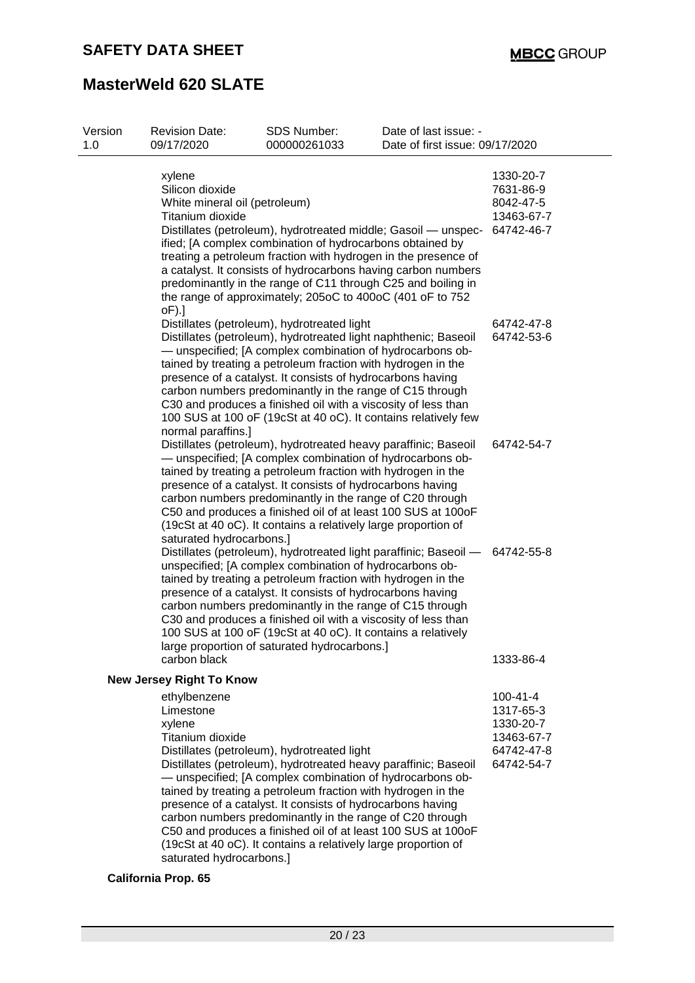| Version<br>1.0 | <b>Revision Date:</b><br>09/17/2020                                                        | SDS Number:<br>000000261033                                                                                                                                                                                                                                                                                                                                                                                                             | Date of last issue: -<br>Date of first issue: 09/17/2020                                                                                                                                                                                                          |                                                                                    |
|----------------|--------------------------------------------------------------------------------------------|-----------------------------------------------------------------------------------------------------------------------------------------------------------------------------------------------------------------------------------------------------------------------------------------------------------------------------------------------------------------------------------------------------------------------------------------|-------------------------------------------------------------------------------------------------------------------------------------------------------------------------------------------------------------------------------------------------------------------|------------------------------------------------------------------------------------|
|                | xylene<br>Silicon dioxide<br>White mineral oil (petroleum)<br>Titanium dioxide<br>$oF$ ).] | ified; [A complex combination of hydrocarbons obtained by<br>the range of approximately; 205oC to 400oC (401 oF to 752                                                                                                                                                                                                                                                                                                                  | Distillates (petroleum), hydrotreated middle; Gasoil - unspec-<br>treating a petroleum fraction with hydrogen in the presence of<br>a catalyst. It consists of hydrocarbons having carbon numbers<br>predominantly in the range of C11 through C25 and boiling in | 1330-20-7<br>7631-86-9<br>8042-47-5<br>13463-67-7<br>64742-46-7                    |
|                | normal paraffins.]                                                                         | Distillates (petroleum), hydrotreated light<br>Distillates (petroleum), hydrotreated light naphthenic; Baseoil<br>- unspecified; [A complex combination of hydrocarbons ob-<br>tained by treating a petroleum fraction with hydrogen in the<br>presence of a catalyst. It consists of hydrocarbons having<br>carbon numbers predominantly in the range of C15 through<br>C30 and produces a finished oil with a viscosity of less than  | 100 SUS at 100 oF (19cSt at 40 oC). It contains relatively few                                                                                                                                                                                                    | 64742-47-8<br>64742-53-6                                                           |
|                | saturated hydrocarbons.]                                                                   | Distillates (petroleum), hydrotreated heavy paraffinic; Baseoil<br>- unspecified; [A complex combination of hydrocarbons ob-<br>tained by treating a petroleum fraction with hydrogen in the<br>presence of a catalyst. It consists of hydrocarbons having<br>carbon numbers predominantly in the range of C20 through<br>(19cSt at 40 oC). It contains a relatively large proportion of                                                | C50 and produces a finished oil of at least 100 SUS at 100oF                                                                                                                                                                                                      | 64742-54-7                                                                         |
|                |                                                                                            | unspecified; [A complex combination of hydrocarbons ob-<br>tained by treating a petroleum fraction with hydrogen in the<br>presence of a catalyst. It consists of hydrocarbons having<br>carbon numbers predominantly in the range of C15 through<br>C30 and produces a finished oil with a viscosity of less than<br>100 SUS at 100 oF (19cSt at 40 oC). It contains a relatively<br>large proportion of saturated hydrocarbons.]      | Distillates (petroleum), hydrotreated light paraffinic; Baseoil - 64742-55-8                                                                                                                                                                                      |                                                                                    |
|                | carbon black<br><b>New Jersey Right To Know</b>                                            |                                                                                                                                                                                                                                                                                                                                                                                                                                         |                                                                                                                                                                                                                                                                   | 1333-86-4                                                                          |
|                | ethylbenzene<br>Limestone<br>xylene<br>Titanium dioxide<br>saturated hydrocarbons.]        | Distillates (petroleum), hydrotreated light<br>Distillates (petroleum), hydrotreated heavy paraffinic; Baseoil<br>- unspecified; [A complex combination of hydrocarbons ob-<br>tained by treating a petroleum fraction with hydrogen in the<br>presence of a catalyst. It consists of hydrocarbons having<br>carbon numbers predominantly in the range of C20 through<br>(19cSt at 40 oC). It contains a relatively large proportion of | C50 and produces a finished oil of at least 100 SUS at 100oF                                                                                                                                                                                                      | $100 - 41 - 4$<br>1317-65-3<br>1330-20-7<br>13463-67-7<br>64742-47-8<br>64742-54-7 |

### **California Prop. 65**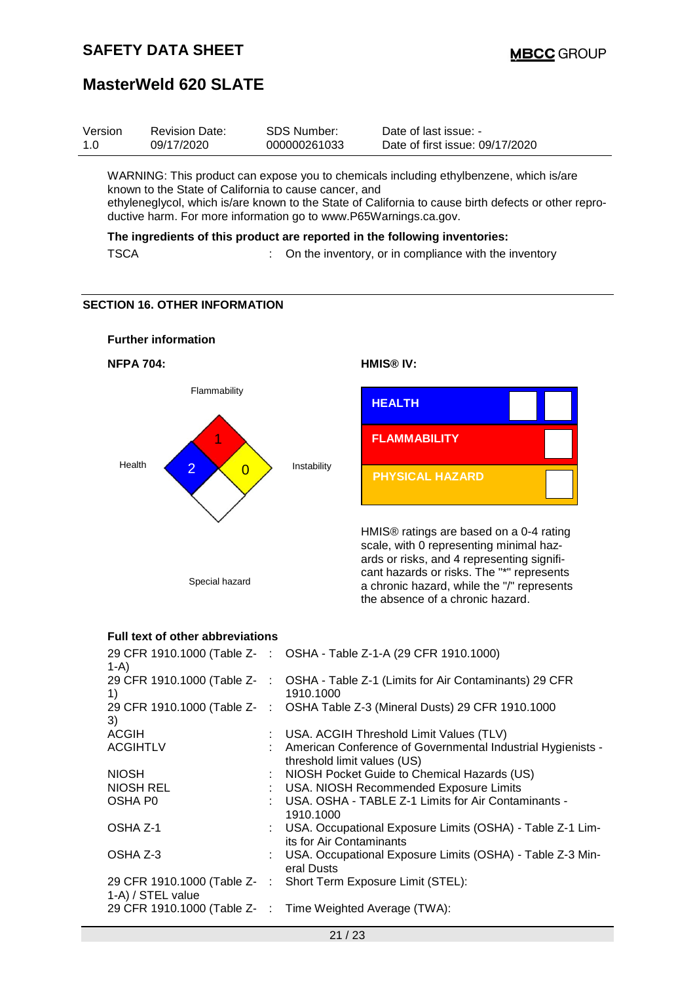| Version | <b>Revision Date:</b> | SDS Number:  | Date of last issue: -           |
|---------|-----------------------|--------------|---------------------------------|
| 1.0     | 09/17/2020            | 000000261033 | Date of first issue: 09/17/2020 |
|         |                       |              |                                 |

WARNING: This product can expose you to chemicals including ethylbenzene, which is/are known to the State of California to cause cancer, and ethyleneglycol, which is/are known to the State of California to cause birth defects or other reproductive harm. For more information go to www.P65Warnings.ca.gov.

**The ingredients of this product are reported in the following inventories:**

| <b>TSCA</b> |  | On the inventory, or in compliance with the inventory |
|-------------|--|-------------------------------------------------------|
|-------------|--|-------------------------------------------------------|

#### **SECTION 16. OTHER INFORMATION**



### **Full text of other abbreviations**

| $1-A$                      | 29 CFR 1910.1000 (Table Z- : OSHA - Table Z-1-A (29 CFR 1910.1000)                              |
|----------------------------|-------------------------------------------------------------------------------------------------|
| 1)                         | 29 CFR 1910.1000 (Table Z- : OSHA - Table Z-1 (Limits for Air Contaminants) 29 CFR<br>1910.1000 |
| 3)                         | 29 CFR 1910.1000 (Table Z-: OSHA Table Z-3 (Mineral Dusts) 29 CFR 1910.1000                     |
| <b>ACGIH</b>               | : USA. ACGIH Threshold Limit Values (TLV)                                                       |
| <b>ACGIHTLV</b>            | : American Conference of Governmental Industrial Hygienists -<br>threshold limit values (US)    |
| <b>NIOSH</b>               | : NIOSH Pocket Guide to Chemical Hazards (US)                                                   |
| NIOSH REL                  | : USA. NIOSH Recommended Exposure Limits                                                        |
| OSHA P0                    | : USA. OSHA - TABLE Z-1 Limits for Air Contaminants -<br>1910.1000                              |
| OSHA Z-1                   | : USA. Occupational Exposure Limits (OSHA) - Table Z-1 Lim-<br>its for Air Contaminants         |
| OSHA Z-3                   | : USA. Occupational Exposure Limits (OSHA) - Table Z-3 Min-<br>eral Dusts                       |
| 1-A) / STEL value          | 29 CFR 1910.1000 (Table Z-: Short Term Exposure Limit (STEL):                                   |
| 29 CFR 1910.1000 (Table Z- | : Time Weighted Average (TWA):                                                                  |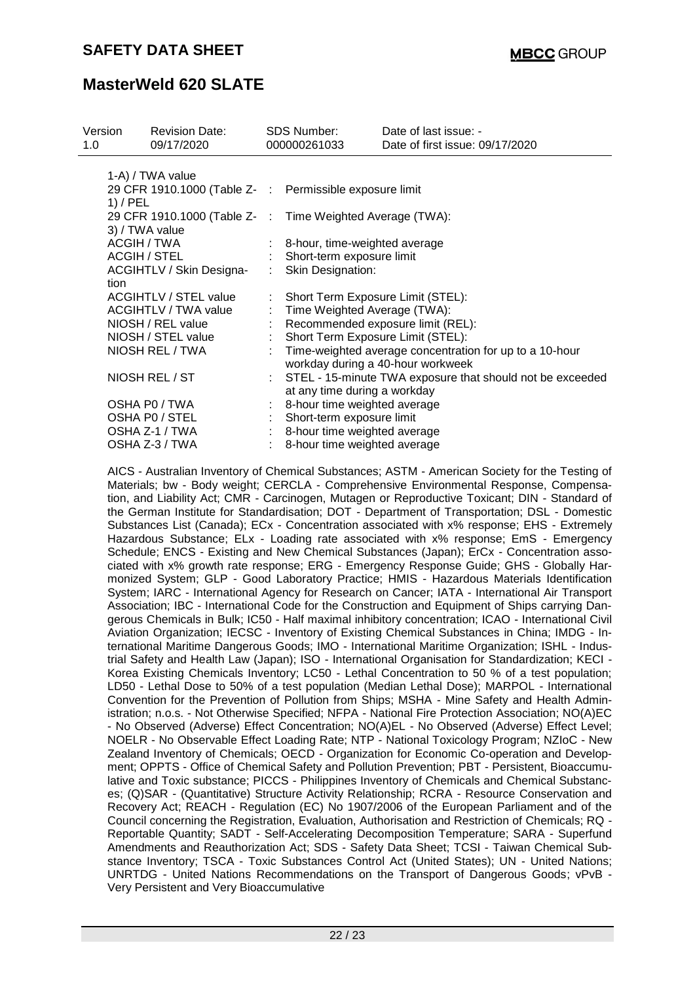| Version<br>1.0 | <b>Revision Date:</b><br>09/17/2020                                         |  | <b>SDS Number:</b><br>000000261033 | Date of last issue: -<br>Date of first issue: 09/17/2020                                       |  |
|----------------|-----------------------------------------------------------------------------|--|------------------------------------|------------------------------------------------------------------------------------------------|--|
|                | 1-A) / TWA value                                                            |  |                                    |                                                                                                |  |
|                | 29 CFR 1910.1000 (Table Z- : Permissible exposure limit<br>$1)$ / PEL       |  |                                    |                                                                                                |  |
|                | 29 CFR 1910.1000 (Table Z- : Time Weighted Average (TWA):<br>3) / TWA value |  |                                    |                                                                                                |  |
|                | ACGIH / TWA                                                                 |  | : 8-hour, time-weighted average    |                                                                                                |  |
|                | ACGIH / STEL                                                                |  | Short-term exposure limit          |                                                                                                |  |
|                | ACGIHTLV / Skin Designa-                                                    |  | Skin Designation:                  |                                                                                                |  |
|                | tion                                                                        |  |                                    |                                                                                                |  |
|                | ACGIHTLV / STEL value                                                       |  |                                    | Short Term Exposure Limit (STEL):                                                              |  |
|                | <b>ACGIHTLV / TWA value</b>                                                 |  | : Time Weighted Average (TWA):     |                                                                                                |  |
|                | NIOSH / REL value                                                           |  | Recommended exposure limit (REL):  |                                                                                                |  |
|                | NIOSH / STEL value                                                          |  |                                    | Short Term Exposure Limit (STEL):                                                              |  |
|                | NIOSH REL / TWA                                                             |  |                                    | : Time-weighted average concentration for up to a 10-hour<br>workday during a 40-hour workweek |  |
|                | NIOSH REL / ST                                                              |  |                                    | : STEL - 15-minute TWA exposure that should not be exceeded                                    |  |
|                |                                                                             |  | at any time during a workday       |                                                                                                |  |
|                | OSHA P0 / TWA                                                               |  | 8-hour time weighted average       |                                                                                                |  |
|                | OSHA PO / STEL                                                              |  | Short-term exposure limit          |                                                                                                |  |
|                | OSHA Z-1 / TWA                                                              |  | 8-hour time weighted average       |                                                                                                |  |
|                | OSHA Z-3 / TWA                                                              |  | 8-hour time weighted average       |                                                                                                |  |

AICS - Australian Inventory of Chemical Substances; ASTM - American Society for the Testing of Materials; bw - Body weight; CERCLA - Comprehensive Environmental Response, Compensation, and Liability Act; CMR - Carcinogen, Mutagen or Reproductive Toxicant; DIN - Standard of the German Institute for Standardisation; DOT - Department of Transportation; DSL - Domestic Substances List (Canada); ECx - Concentration associated with x% response; EHS - Extremely Hazardous Substance; ELx - Loading rate associated with x% response; EmS - Emergency Schedule; ENCS - Existing and New Chemical Substances (Japan); ErCx - Concentration associated with x% growth rate response; ERG - Emergency Response Guide; GHS - Globally Harmonized System; GLP - Good Laboratory Practice; HMIS - Hazardous Materials Identification System; IARC - International Agency for Research on Cancer; IATA - International Air Transport Association; IBC - International Code for the Construction and Equipment of Ships carrying Dangerous Chemicals in Bulk; IC50 - Half maximal inhibitory concentration; ICAO - International Civil Aviation Organization; IECSC - Inventory of Existing Chemical Substances in China; IMDG - International Maritime Dangerous Goods; IMO - International Maritime Organization; ISHL - Industrial Safety and Health Law (Japan); ISO - International Organisation for Standardization; KECI - Korea Existing Chemicals Inventory; LC50 - Lethal Concentration to 50 % of a test population; LD50 - Lethal Dose to 50% of a test population (Median Lethal Dose); MARPOL - International Convention for the Prevention of Pollution from Ships; MSHA - Mine Safety and Health Administration; n.o.s. - Not Otherwise Specified; NFPA - National Fire Protection Association; NO(A)EC - No Observed (Adverse) Effect Concentration; NO(A)EL - No Observed (Adverse) Effect Level; NOELR - No Observable Effect Loading Rate; NTP - National Toxicology Program; NZIoC - New Zealand Inventory of Chemicals; OECD - Organization for Economic Co-operation and Development; OPPTS - Office of Chemical Safety and Pollution Prevention; PBT - Persistent, Bioaccumulative and Toxic substance; PICCS - Philippines Inventory of Chemicals and Chemical Substances; (Q)SAR - (Quantitative) Structure Activity Relationship; RCRA - Resource Conservation and Recovery Act; REACH - Regulation (EC) No 1907/2006 of the European Parliament and of the Council concerning the Registration, Evaluation, Authorisation and Restriction of Chemicals; RQ - Reportable Quantity; SADT - Self-Accelerating Decomposition Temperature; SARA - Superfund Amendments and Reauthorization Act; SDS - Safety Data Sheet; TCSI - Taiwan Chemical Substance Inventory; TSCA - Toxic Substances Control Act (United States); UN - United Nations; UNRTDG - United Nations Recommendations on the Transport of Dangerous Goods; vPvB - Very Persistent and Very Bioaccumulative